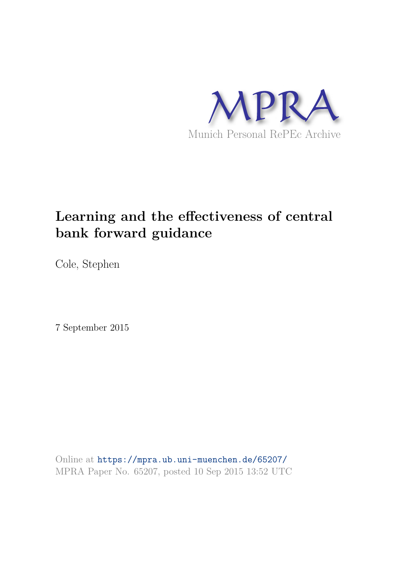

# **Learning and the effectiveness of central bank forward guidance**

Cole, Stephen

7 September 2015

Online at https://mpra.ub.uni-muenchen.de/65207/ MPRA Paper No. 65207, posted 10 Sep 2015 13:52 UTC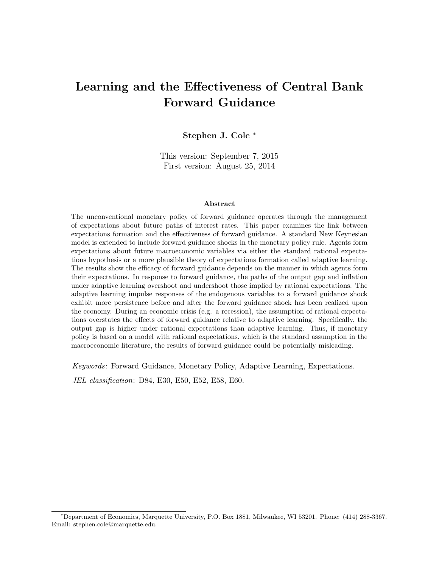## Learning and the Effectiveness of Central Bank Forward Guidance

#### Stephen J. Cole <sup>∗</sup>

This version: September 7, 2015 First version: August 25, 2014

#### Abstract

The unconventional monetary policy of forward guidance operates through the management of expectations about future paths of interest rates. This paper examines the link between expectations formation and the effectiveness of forward guidance. A standard New Keynesian model is extended to include forward guidance shocks in the monetary policy rule. Agents form expectations about future macroeconomic variables via either the standard rational expectations hypothesis or a more plausible theory of expectations formation called adaptive learning. The results show the efficacy of forward guidance depends on the manner in which agents form their expectations. In response to forward guidance, the paths of the output gap and inflation under adaptive learning overshoot and undershoot those implied by rational expectations. The adaptive learning impulse responses of the endogenous variables to a forward guidance shock exhibit more persistence before and after the forward guidance shock has been realized upon the economy. During an economic crisis (e.g. a recession), the assumption of rational expectations overstates the effects of forward guidance relative to adaptive learning. Specifically, the output gap is higher under rational expectations than adaptive learning. Thus, if monetary policy is based on a model with rational expectations, which is the standard assumption in the macroeconomic literature, the results of forward guidance could be potentially misleading.

Keywords: Forward Guidance, Monetary Policy, Adaptive Learning, Expectations.

JEL classification: D84, E30, E50, E52, E58, E60.

<sup>∗</sup>Department of Economics, Marquette University, P.O. Box 1881, Milwaukee, WI 53201. Phone: (414) 288-3367. Email: stephen.cole@marquette.edu.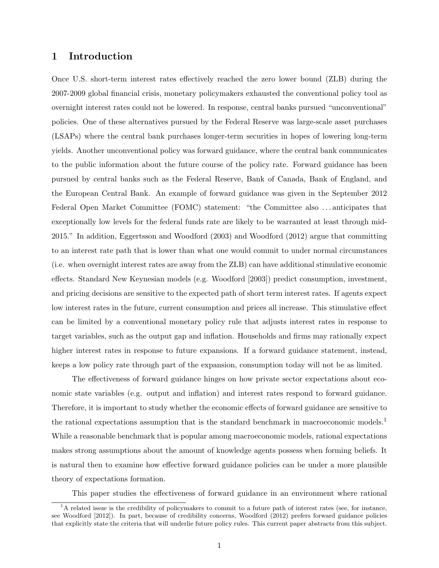## 1 Introduction

Once U.S. short-term interest rates effectively reached the zero lower bound (ZLB) during the 2007-2009 global financial crisis, monetary policymakers exhausted the conventional policy tool as overnight interest rates could not be lowered. In response, central banks pursued "unconventional" policies. One of these alternatives pursued by the Federal Reserve was large-scale asset purchases (LSAPs) where the central bank purchases longer-term securities in hopes of lowering long-term yields. Another unconventional policy was forward guidance, where the central bank communicates to the public information about the future course of the policy rate. Forward guidance has been pursued by central banks such as the Federal Reserve, Bank of Canada, Bank of England, and the European Central Bank. An example of forward guidance was given in the September 2012 Federal Open Market Committee (FOMC) statement: "the Committee also . . . anticipates that exceptionally low levels for the federal funds rate are likely to be warranted at least through mid-2015." In addition, Eggertsson and Woodford (2003) and Woodford (2012) argue that committing to an interest rate path that is lower than what one would commit to under normal circumstances (i.e. when overnight interest rates are away from the ZLB) can have additional stimulative economic effects. Standard New Keynesian models (e.g. Woodford [2003]) predict consumption, investment, and pricing decisions are sensitive to the expected path of short term interest rates. If agents expect low interest rates in the future, current consumption and prices all increase. This stimulative effect can be limited by a conventional monetary policy rule that adjusts interest rates in response to target variables, such as the output gap and inflation. Households and firms may rationally expect higher interest rates in response to future expansions. If a forward guidance statement, instead, keeps a low policy rate through part of the expansion, consumption today will not be as limited.

The effectiveness of forward guidance hinges on how private sector expectations about economic state variables (e.g. output and inflation) and interest rates respond to forward guidance. Therefore, it is important to study whether the economic effects of forward guidance are sensitive to the rational expectations assumption that is the standard benchmark in macroeconomic models.<sup>1</sup> While a reasonable benchmark that is popular among macroeconomic models, rational expectations makes strong assumptions about the amount of knowledge agents possess when forming beliefs. It is natural then to examine how effective forward guidance policies can be under a more plausible theory of expectations formation.

This paper studies the effectiveness of forward guidance in an environment where rational

 ${}^{1}$ A related issue is the credibility of policymakers to commit to a future path of interest rates (see, for instance, see Woodford [2012]). In part, because of credibility concerns, Woodford (2012) prefers forward guidance policies that explicitly state the criteria that will underlie future policy rules. This current paper abstracts from this subject.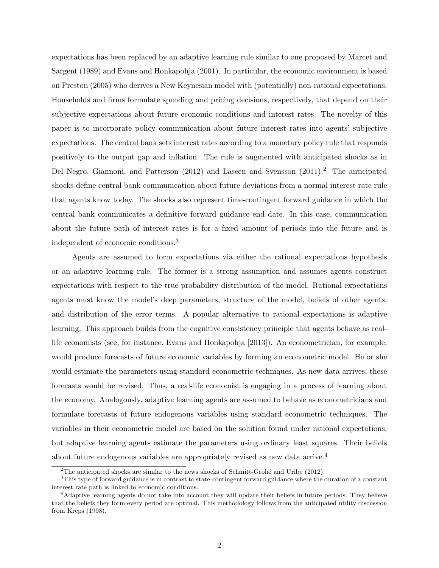expectations has been replaced by an adaptive learning rule similar to one proposed by Marcet and Sargent (1989) and Evans and Honkapohja (2001). In particular, the economic environment is based on Preston (2005) who derives a New Keynesian model with (potentially) non-rational expectations. Households and firms formulate spending and pricing decisions, respectively, that depend on their subjective expectations about future economic conditions and interest rates. The novelty of this paper is to incorporate policy communication about future interest rates into agents' subjective expectations. The central bank sets interest rates according to a monetary policy rule that responds positively to the output gap and inflation. The rule is augmented with anticipated shocks as in Del Negro, Giannoni, and Patterson (2012) and Laseen and Svensson (2011).<sup>2</sup> The anticipated shocks define central bank communication about future deviations from a normal interest rate rule that agents know today. The shocks also represent time-contingent forward guidance in which the central bank communicates a definitive forward guidance end date. In this case, communication about the future path of interest rates is for a fixed amount of periods into the future and is independent of economic conditions.<sup>3</sup>

Agents are assumed to form expectations via either the rational expectations hypothesis or an adaptive learning rule. The former is a strong assumption and assumes agents construct expectations with respect to the true probability distribution of the model. Rational expectations agents must know the model's deep parameters, structure of the model, beliefs of other agents, and distribution of the error terms. A popular alternative to rational expectations is adaptive learning. This approach builds from the cognitive consistency principle that agents behave as reallife economists (see, for instance, Evans and Honkapohja [2013]). An econometrician, for example, would produce forecasts of future economic variables by forming an econometric model. He or she would estimate the parameters using standard econometric techniques. As new data arrives, these forecasts would be revised. Thus, a real-life economist is engaging in a process of learning about the economy. Analogously, adaptive learning agents are assumed to behave as econometricians and formulate forecasts of future endogenous variables using standard econometric techniques. The variables in their econometric model are based on the solution found under rational expectations, but adaptive learning agents estimate the parameters using ordinary least squares. Their beliefs about future endogenous variables are appropriately revised as new data arrive.<sup>4</sup>

<sup>&</sup>lt;sup>2</sup>The anticipated shocks are similar to the news shocks of Schmitt-Grohé and Uribe (2012).

<sup>3</sup>This type of forward guidance is in contrast to state-contingent forward guidance where the duration of a constant interest rate path is linked to economic conditions.

<sup>&</sup>lt;sup>4</sup>Adaptive learning agents do not take into account they will update their beliefs in future periods. They believe that the beliefs they form every period are optimal. This methodology follows from the anticipated utility discussion from Kreps (1998).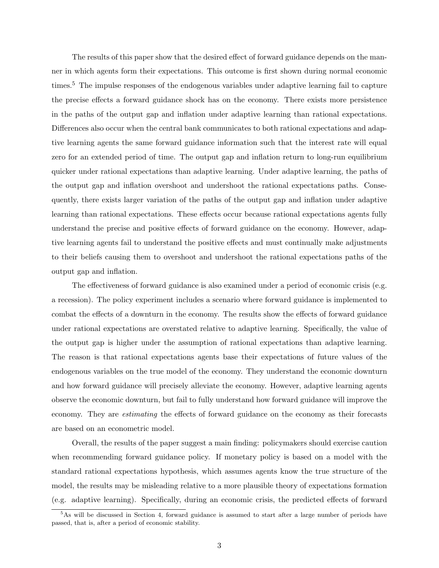The results of this paper show that the desired effect of forward guidance depends on the manner in which agents form their expectations. This outcome is first shown during normal economic times.<sup>5</sup> The impulse responses of the endogenous variables under adaptive learning fail to capture the precise effects a forward guidance shock has on the economy. There exists more persistence in the paths of the output gap and inflation under adaptive learning than rational expectations. Differences also occur when the central bank communicates to both rational expectations and adaptive learning agents the same forward guidance information such that the interest rate will equal zero for an extended period of time. The output gap and inflation return to long-run equilibrium quicker under rational expectations than adaptive learning. Under adaptive learning, the paths of the output gap and inflation overshoot and undershoot the rational expectations paths. Consequently, there exists larger variation of the paths of the output gap and inflation under adaptive learning than rational expectations. These effects occur because rational expectations agents fully understand the precise and positive effects of forward guidance on the economy. However, adaptive learning agents fail to understand the positive effects and must continually make adjustments to their beliefs causing them to overshoot and undershoot the rational expectations paths of the output gap and inflation.

The effectiveness of forward guidance is also examined under a period of economic crisis (e.g. a recession). The policy experiment includes a scenario where forward guidance is implemented to combat the effects of a downturn in the economy. The results show the effects of forward guidance under rational expectations are overstated relative to adaptive learning. Specifically, the value of the output gap is higher under the assumption of rational expectations than adaptive learning. The reason is that rational expectations agents base their expectations of future values of the endogenous variables on the true model of the economy. They understand the economic downturn and how forward guidance will precisely alleviate the economy. However, adaptive learning agents observe the economic downturn, but fail to fully understand how forward guidance will improve the economy. They are estimating the effects of forward guidance on the economy as their forecasts are based on an econometric model.

Overall, the results of the paper suggest a main finding: policymakers should exercise caution when recommending forward guidance policy. If monetary policy is based on a model with the standard rational expectations hypothesis, which assumes agents know the true structure of the model, the results may be misleading relative to a more plausible theory of expectations formation (e.g. adaptive learning). Specifically, during an economic crisis, the predicted effects of forward

 $5$ As will be discussed in Section 4, forward guidance is assumed to start after a large number of periods have passed, that is, after a period of economic stability.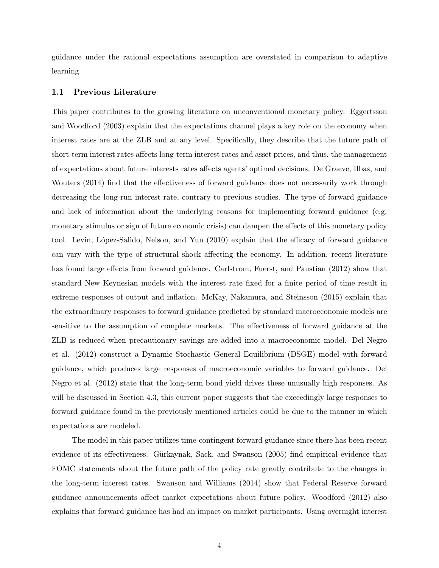guidance under the rational expectations assumption are overstated in comparison to adaptive learning.

#### 1.1 Previous Literature

This paper contributes to the growing literature on unconventional monetary policy. Eggertsson and Woodford (2003) explain that the expectations channel plays a key role on the economy when interest rates are at the ZLB and at any level. Specifically, they describe that the future path of short-term interest rates affects long-term interest rates and asset prices, and thus, the management of expectations about future interests rates affects agents' optimal decisions. De Graeve, Ilbas, and Wouters (2014) find that the effectiveness of forward guidance does not necessarily work through decreasing the long-run interest rate, contrary to previous studies. The type of forward guidance and lack of information about the underlying reasons for implementing forward guidance (e.g. monetary stimulus or sign of future economic crisis) can dampen the effects of this monetary policy tool. Levin, López-Salido, Nelson, and Yun (2010) explain that the efficacy of forward guidance can vary with the type of structural shock affecting the economy. In addition, recent literature has found large effects from forward guidance. Carlstrom, Fuerst, and Paustian (2012) show that standard New Keynesian models with the interest rate fixed for a finite period of time result in extreme responses of output and inflation. McKay, Nakamura, and Steinsson (2015) explain that the extraordinary responses to forward guidance predicted by standard macroeconomic models are sensitive to the assumption of complete markets. The effectiveness of forward guidance at the ZLB is reduced when precautionary savings are added into a macroeconomic model. Del Negro et al. (2012) construct a Dynamic Stochastic General Equilibrium (DSGE) model with forward guidance, which produces large responses of macroeconomic variables to forward guidance. Del Negro et al. (2012) state that the long-term bond yield drives these unusually high responses. As will be discussed in Section 4.3, this current paper suggests that the exceedingly large responses to forward guidance found in the previously mentioned articles could be due to the manner in which expectations are modeled.

The model in this paper utilizes time-contingent forward guidance since there has been recent evidence of its effectiveness. Gürkaynak, Sack, and Swanson (2005) find empirical evidence that FOMC statements about the future path of the policy rate greatly contribute to the changes in the long-term interest rates. Swanson and Williams (2014) show that Federal Reserve forward guidance announcements affect market expectations about future policy. Woodford (2012) also explains that forward guidance has had an impact on market participants. Using overnight interest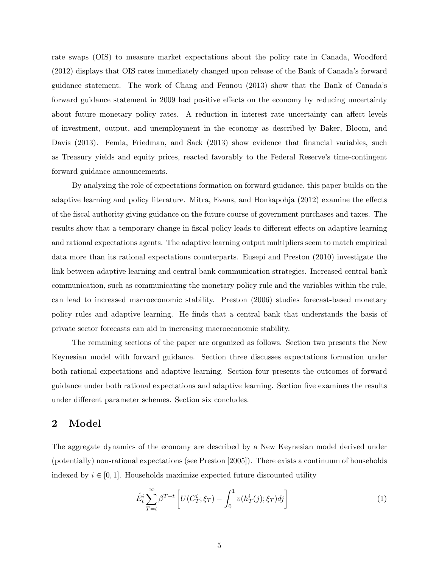rate swaps (OIS) to measure market expectations about the policy rate in Canada, Woodford (2012) displays that OIS rates immediately changed upon release of the Bank of Canada's forward guidance statement. The work of Chang and Feunou (2013) show that the Bank of Canada's forward guidance statement in 2009 had positive effects on the economy by reducing uncertainty about future monetary policy rates. A reduction in interest rate uncertainty can affect levels of investment, output, and unemployment in the economy as described by Baker, Bloom, and Davis (2013). Femia, Friedman, and Sack (2013) show evidence that financial variables, such as Treasury yields and equity prices, reacted favorably to the Federal Reserve's time-contingent forward guidance announcements.

By analyzing the role of expectations formation on forward guidance, this paper builds on the adaptive learning and policy literature. Mitra, Evans, and Honkapohja (2012) examine the effects of the fiscal authority giving guidance on the future course of government purchases and taxes. The results show that a temporary change in fiscal policy leads to different effects on adaptive learning and rational expectations agents. The adaptive learning output multipliers seem to match empirical data more than its rational expectations counterparts. Eusepi and Preston (2010) investigate the link between adaptive learning and central bank communication strategies. Increased central bank communication, such as communicating the monetary policy rule and the variables within the rule, can lead to increased macroeconomic stability. Preston (2006) studies forecast-based monetary policy rules and adaptive learning. He finds that a central bank that understands the basis of private sector forecasts can aid in increasing macroeconomic stability.

The remaining sections of the paper are organized as follows. Section two presents the New Keynesian model with forward guidance. Section three discusses expectations formation under both rational expectations and adaptive learning. Section four presents the outcomes of forward guidance under both rational expectations and adaptive learning. Section five examines the results under different parameter schemes. Section six concludes.

## 2 Model

The aggregate dynamics of the economy are described by a New Keynesian model derived under (potentially) non-rational expectations (see Preston [2005]). There exists a continuum of households indexed by  $i \in [0, 1]$ . Households maximize expected future discounted utility

$$
\hat{E}_t^i \sum_{T=t}^{\infty} \beta^{T-t} \left[ U(C_T^i; \xi_T) - \int_0^1 v(h_T^i(j); \xi_T) dj \right]
$$
\n(1)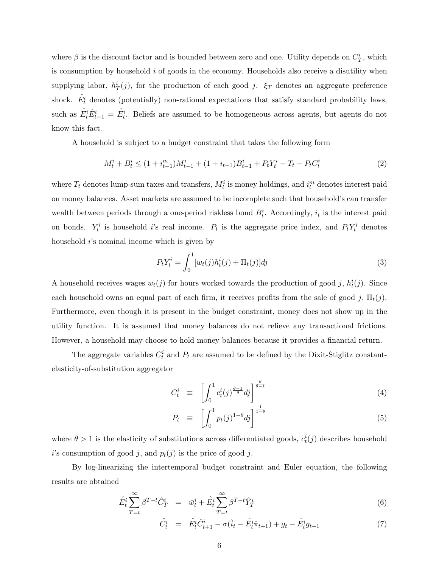where  $\beta$  is the discount factor and is bounded between zero and one. Utility depends on  $C_T^i$ , which is consumption by household i of goods in the economy. Households also receive a disutility when supplying labor,  $h_T^i(j)$ , for the production of each good j.  $\xi_T$  denotes an aggregate preference shock.  $\hat{E}_t^i$  denotes (potentially) non-rational expectations that satisfy standard probability laws, such as  $\hat{E}_t^i \hat{E}_{t+1}^i = \hat{E}_t^i$ . Beliefs are assumed to be homogeneous across agents, but agents do not know this fact.

A household is subject to a budget constraint that takes the following form

$$
M_t^i + B_t^i \le (1 + i_{t-1}^m)M_{t-1}^i + (1 + i_{t-1})B_{t-1}^i + P_t Y_t^i - T_t - P_t C_t^i
$$
\n<sup>(2)</sup>

where  $T_t$  denotes lump-sum taxes and transfers,  $M_t^i$  is money holdings, and  $i_t^m$  denotes interest paid on money balances. Asset markets are assumed to be incomplete such that household's can transfer wealth between periods through a one-period riskless bond  $B_t^i$ . Accordingly,  $i_t$  is the interest paid on bonds.  $Y_t^i$  is household i's real income.  $P_t$  is the aggregate price index, and  $P_t Y_t^i$  denotes household *i*'s nominal income which is given by

$$
P_t Y_t^i = \int_0^1 [w_t(j)h_t^i(j) + \Pi_t(j)]dj \tag{3}
$$

A household receives wages  $w_t(j)$  for hours worked towards the production of good j,  $h_t^i(j)$ . Since each household owns an equal part of each firm, it receives profits from the sale of good j,  $\Pi_t(j)$ . Furthermore, even though it is present in the budget constraint, money does not show up in the utility function. It is assumed that money balances do not relieve any transactional frictions. However, a household may choose to hold money balances because it provides a financial return.

The aggregate variables  $C_t^i$  and  $P_t$  are assumed to be defined by the Dixit-Stiglitz constantelasticity-of-substitution aggregator

$$
C_t^i \equiv \left[ \int_0^1 c_t^i(j)^{\frac{\theta - 1}{\theta}} dj \right]^{\frac{\theta}{\theta - 1}} \tag{4}
$$

$$
P_t \equiv \left[ \int_0^1 p_t(j)^{1-\theta} dj \right]^{\frac{1}{1-\theta}} \tag{5}
$$

where  $\theta > 1$  is the elasticity of substitutions across differentiated goods,  $c_t^i(j)$  describes household i's consumption of good j, and  $p_t(j)$  is the price of good j.

By log-linearizing the intertemporal budget constraint and Euler equation, the following results are obtained

$$
\hat{E}_t^i \sum_{T=t}^{\infty} \beta^{T-t} \hat{C}_T^i = \bar{w}_t^i + \hat{E}_t^i \sum_{T=t}^{\infty} \beta^{T-t} \hat{Y}_T^i
$$
\n(6)

$$
\hat{C}_t^i = \hat{E}_t^i \hat{C}_{t+1}^i - \sigma(\hat{i}_t - \hat{E}_t^i \hat{\pi}_{t+1}) + g_t - \hat{E}_t^i g_{t+1}
$$
\n(7)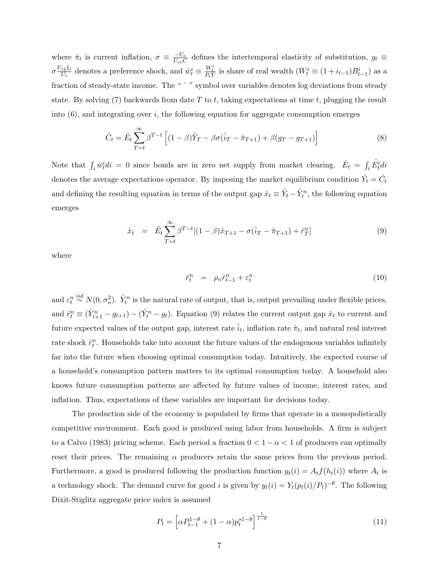where  $\hat{\pi}_t$  is current inflation,  $\sigma \equiv \frac{-U_c}{U_{cc}\tilde{C}}$  defines the intertemporal elasticity of substitution,  $g_t \equiv$  $\sigma \frac{U_{c\xi}\xi_{t}}{U_{c}}$  $\frac{\overline{U}_{c}\xi_{t}}{U_{c}}$  denotes a preference shock, and  $\overline{w}_{t}^{i} \equiv \frac{W_{t}^{i}}{P_{t}Y}$  is share of real wealth  $(W_{t}^{i} \equiv (1 + i_{t-1})B_{t-1}^{i})$  as a fraction of steady-state income. The "  $\degree$  " symbol over variables denotes log deviations from steady state. By solving (7) backwards from date T to t, taking expectations at time t, plugging the result into  $(6)$ , and integrating over i, the following equation for aggregate consumption emerges

$$
\hat{C}_t = \hat{E}_t \sum_{T=t}^{\infty} \beta^{T-t} \left[ (1-\beta)\hat{Y}_T - \beta \sigma (\hat{i}_T - \hat{\pi}_{T+1}) + \beta (g_T - g_{T+1}) \right]
$$
(8)

Note that  $\int_i \bar{w}_i^i di = 0$  since bonds are in zero net supply from market clearing.  $\hat{E}_t = \int_i \hat{E}_t^i di$ denotes the average expectations operator. By imposing the market equilibrium condition  $\hat{Y}_t = \hat{C}_t$ and defining the resulting equation in terms of the output gap  $\hat{x}_t \equiv \hat{Y}_t - \hat{Y}_t^n$ , the following equation emerges

$$
\hat{x}_t = \hat{E}_t \sum_{T=t}^{\infty} \beta^{T-t} [(1-\beta)\hat{x}_{T+1} - \sigma(\hat{i}_T - \hat{\pi}_{T+1}) + \hat{r}_T^n]
$$
\n(9)

where

$$
\hat{r}_t^n = \rho_n \hat{r}_{t-1}^n + \varepsilon_t^n \tag{10}
$$

and  $\varepsilon_t^n\stackrel{iid}{\sim}N(0,\sigma_n^2)$ .  $\hat{Y}_t^n$  is the natural rate of output, that is, output prevailing under flexible prices, and  $\hat{r}_t^n \equiv (\hat{Y}_{t+1}^n - g_{t+1}) - (\hat{Y}_t^n - g_t)$ . Equation (9) relates the current output gap  $\hat{x}_t$  to current and future expected values of the output gap, interest rate  $\hat{i}_t$ , inflation rate  $\hat{\pi}_t$ , and natural real interest rate shock  $\hat{r}_t^n$ . Households take into account the future values of the endogenous variables infinitely far into the future when choosing optimal consumption today. Intuitively, the expected course of a household's consumption pattern matters to its optimal consumption today. A household also knows future consumption patterns are affected by future values of income, interest rates, and inflation. Thus, expectations of these variables are important for decisions today.

The production side of the economy is populated by firms that operate in a monopolistically competitive environment. Each good is produced using labor from households. A firm is subject to a Calvo (1983) pricing scheme. Each period a fraction  $0 < 1 - \alpha < 1$  of producers can optimally reset their prices. The remaining  $\alpha$  producers retain the same prices from the previous period. Furthermore, a good is produced following the production function  $y_t(i) = A_t f(h_t(i))$  where  $A_t$  is a technology shock. The demand curve for good *i* is given by  $y_t(i) = Y_t(p_t(i)/P_t)^{-\theta}$ . The following Dixit-Stiglitz aggregate price index is assumed

$$
P_t = \left[ \alpha P_{t-1}^{1-\theta} + (1-\alpha)p_t^{*1-\theta} \right]^{\frac{1}{1-\theta}}
$$
\n(11)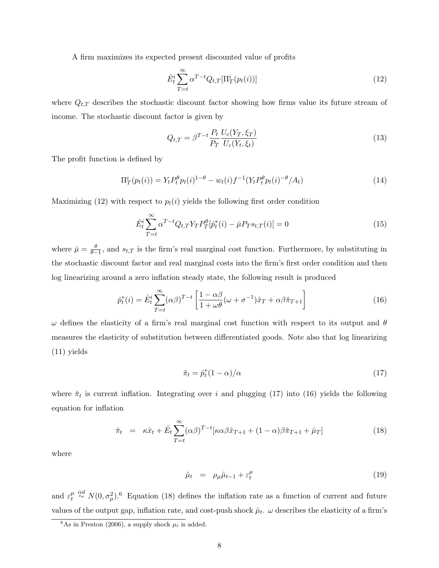A firm maximizes its expected present discounted value of profits

$$
\hat{E}_t^i \sum_{T=t}^{\infty} \alpha^{T-t} Q_{t,T}[\Pi_T^i(p_t(i))]
$$
\n(12)

where  $Q_{t,T}$  describes the stochastic discount factor showing how firms value its future stream of income. The stochastic discount factor is given by

$$
Q_{t,T} = \beta^{T-t} \frac{P_t}{P_T} \frac{U_c(Y_T, \xi_T)}{U_c(Y_t, \xi_t)}
$$
(13)

The profit function is defined by

$$
\Pi_T^i(p_t(i)) = Y_t P_t^{\theta} p_t(i)^{1-\theta} - w_t(i) f^{-1} (Y_t P_t^{\theta} p_t(i)^{-\theta} / A_t)
$$
\n(14)

Maximizing (12) with respect to  $p_t(i)$  yields the following first order condition

$$
\hat{E}_t^i \sum_{T=t}^{\infty} \alpha^{T-t} Q_{t,T} Y_T P_T^{\theta} [\hat{p}_t^*(i) - \bar{\mu} P_T s_{t,T}(i)] = 0
$$
\n(15)

where  $\bar{\mu} = \frac{\theta}{\theta - 1}$ , and  $s_{t,T}$  is the firm's real marginal cost function. Furthermore, by substituting in the stochastic discount factor and real marginal costs into the firm's first order condition and then log linearizing around a zero inflation steady state, the following result is produced

$$
\hat{p}_t^*(i) = \hat{E}_t^i \sum_{T=t}^{\infty} (\alpha \beta)^{T-t} \left[ \frac{1 - \alpha \beta}{1 + \omega \theta} (\omega + \sigma^{-1}) \hat{x}_T + \alpha \beta \hat{\pi}_{T+1} \right]
$$
(16)

 $ω$  defines the elasticity of a firm's real marginal cost function with respect to its output and  $θ$ measures the elasticity of substitution between differentiated goods. Note also that log linearizing (11) yields

$$
\hat{\pi}_t = \hat{p}_t^*(1 - \alpha) / \alpha \tag{17}
$$

where  $\hat{\pi}_t$  is current inflation. Integrating over i and plugging (17) into (16) yields the following equation for inflation

$$
\hat{\pi}_t = \kappa \hat{x}_t + \hat{E}_t \sum_{T=t}^{\infty} (\alpha \beta)^{T-t} [\kappa \alpha \beta \hat{x}_{T+1} + (1-\alpha) \beta \hat{\pi}_{T+1} + \hat{\mu}_T] \tag{18}
$$

where

$$
\hat{\mu}_t = \rho_\mu \hat{\mu}_{t-1} + \varepsilon_t^\mu \tag{19}
$$

and  $\varepsilon_t^{\mu}$  $\frac{\mu}{t} \stackrel{iid}{\sim} N(0, \sigma_\mu^2)$ .<sup>6</sup> Equation (18) defines the inflation rate as a function of current and future values of the output gap, inflation rate, and cost-push shock  $\hat{\mu}_t$ .  $\omega$  describes the elasticity of a firm's

<sup>&</sup>lt;sup>6</sup>As in Preston (2006), a supply shock  $\mu_t$  is added.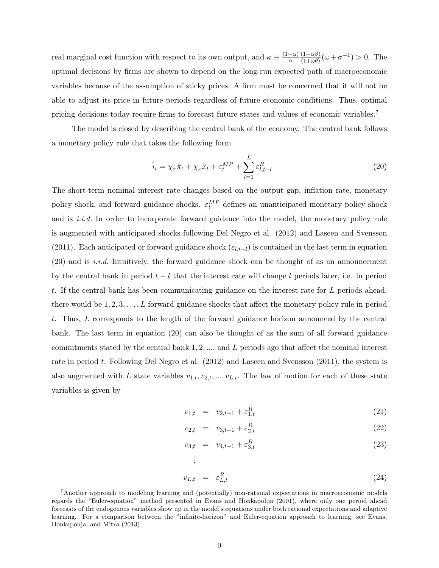real marginal cost function with respect to its own output, and  $\kappa \equiv \frac{(1-\alpha)}{\alpha}$ α  $(1-\alpha\beta)$  $\frac{(1-\alpha\beta)}{(1+\omega\theta)}(\omega+\sigma^{-1})>0.$  The optimal decisions by firms are shown to depend on the long-run expected path of macroeconomic variables because of the assumption of sticky prices. A firm must be concerned that it will not be able to adjust its price in future periods regardless of future economic conditions. Thus, optimal pricing decisions today require firms to forecast future states and values of economic variables.<sup>7</sup>

The model is closed by describing the central bank of the economy. The central bank follows a monetary policy rule that takes the following form

$$
\hat{i}_t = \chi_\pi \hat{\pi}_t + \chi_x \hat{x}_t + \varepsilon_t^{MP} + \sum_{l=1}^L \varepsilon_{l,t-l}^R
$$
\n(20)

The short-term nominal interest rate changes based on the output gap, inflation rate, monetary policy shock, and forward guidance shocks.  $\varepsilon_t^{MP}$  defines an unanticipated monetary policy shock and is  $i.i.d.$  In order to incorporate forward guidance into the model, the monetary policy rule is augmented with anticipated shocks following Del Negro et al. (2012) and Laseen and Svensson (2011). Each anticipated or forward guidance shock  $(\varepsilon_{l,t-l})$  is contained in the last term in equation (20) and is i.i.d. Intuitively, the forward guidance shock can be thought of as an announcement by the central bank in period  $t - l$  that the interest rate will change l periods later, i.e. in period t. If the central bank has been communicating guidance on the interest rate for L periods ahead, there would be  $1, 2, 3, \ldots, L$  forward guidance shocks that affect the monetary policy rule in period t. Thus, L corresponds to the length of the forward guidance horizon announced by the central bank. The last term in equation (20) can also be thought of as the sum of all forward guidance commitments stated by the central bank  $1, 2, \ldots$ , and L periods ago that affect the nominal interest rate in period t. Following Del Negro et al. (2012) and Laseen and Svensson (2011), the system is also augmented with L state variables  $v_{1,t}, v_{2,t}, ..., v_{L,t}$ . The law of motion for each of these state variables is given by

$$
v_{1,t} = v_{2,t-1} + \varepsilon_{1,t}^R \tag{21}
$$

$$
v_{2,t} = v_{3,t-1} + \varepsilon_{2,t}^R
$$
 (22)

$$
v_{3,t} = v_{4,t-1} + \varepsilon_{3,t}^R
$$
\n
$$
\vdots
$$
\n(23)

$$
v_{L,t} = \varepsilon_{L,t}^R \tag{24}
$$

<sup>7</sup>Another approach to modeling learning and (potentially) non-rational expectations in macroeconomic models regards the "Euler-equation" method presented in Evans and Honkapohja (2001), where only one period ahead forecasts of the endogenous variables show up in the model's equations under both rational expectations and adaptive learning. For a comparison between the "infinite-horizon" and Euler-equation approach to learning, see Evans, Honkapohja, and Mitra (2013)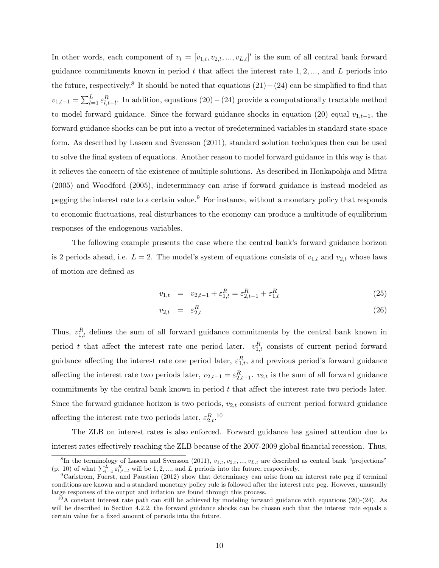In other words, each component of  $v_t = [v_{1,t}, v_{2,t}, ..., v_{L,t}]'$  is the sum of all central bank forward guidance commitments known in period  $t$  that affect the interest rate 1, 2, ..., and  $L$  periods into the future, respectively.<sup>8</sup> It should be noted that equations  $(21) - (24)$  can be simplified to find that  $v_{1,t-1} = \sum_{l=1}^{L} \varepsilon_{l,t-l}^R$ . In addition, equations (20) – (24) provide a computationally tractable method to model forward guidance. Since the forward guidance shocks in equation (20) equal  $v_{1,t-1}$ , the forward guidance shocks can be put into a vector of predetermined variables in standard state-space form. As described by Laseen and Svensson (2011), standard solution techniques then can be used to solve the final system of equations. Another reason to model forward guidance in this way is that it relieves the concern of the existence of multiple solutions. As described in Honkapohja and Mitra (2005) and Woodford (2005), indeterminacy can arise if forward guidance is instead modeled as pegging the interest rate to a certain value.<sup>9</sup> For instance, without a monetary policy that responds to economic fluctuations, real disturbances to the economy can produce a multitude of equilibrium responses of the endogenous variables.

The following example presents the case where the central bank's forward guidance horizon is 2 periods ahead, i.e.  $L = 2$ . The model's system of equations consists of  $v_{1,t}$  and  $v_{2,t}$  whose laws of motion are defined as

$$
v_{1,t} = v_{2,t-1} + \varepsilon_{1,t}^R = \varepsilon_{2,t-1}^R + \varepsilon_{1,t}^R
$$
\n(25)

$$
v_{2,t} = \varepsilon_{2,t}^R \tag{26}
$$

Thus,  $v_{1,t}^R$  defines the sum of all forward guidance commitments by the central bank known in period t that affect the interest rate one period later.  $v_{1,t}^R$  consists of current period forward guidance affecting the interest rate one period later,  $\varepsilon_{1,t}^R$ , and previous period's forward guidance affecting the interest rate two periods later,  $v_{2,t-1} = \varepsilon_{2,t-1}^R$ .  $v_{2,t}$  is the sum of all forward guidance commitments by the central bank known in period t that affect the interest rate two periods later. Since the forward guidance horizon is two periods,  $v_{2,t}$  consists of current period forward guidance affecting the interest rate two periods later,  $\varepsilon_{2,t}^{R}$ .<sup>10</sup>

The ZLB on interest rates is also enforced. Forward guidance has gained attention due to interest rates effectively reaching the ZLB because of the 2007-2009 global financial recession. Thus,

<sup>&</sup>lt;sup>8</sup>In the terminology of Laseen and Svensson (2011),  $v_{1,t}$ ,  $v_{2,t}$ , ...,  $v_{L,t}$  are described as central bank "projections" (p. 10) of what  $\sum_{l=1}^{L} \varepsilon_{l,t-l}^{R}$  will be 1, 2, ..., and L periods into the future, respectively.

 ${}^{9}$ Carlstrom, Fuerst, and Paustian (2012) show that determinacy can arise from an interest rate peg if terminal conditions are known and a standard monetary policy rule is followed after the interest rate peg. However, unusually large responses of the output and inflation are found through this process.

 $10$ A constant interest rate path can still be achieved by modeling forward guidance with equations (20)-(24). As will be described in Section 4.2.2, the forward guidance shocks can be chosen such that the interest rate equals a certain value for a fixed amount of periods into the future.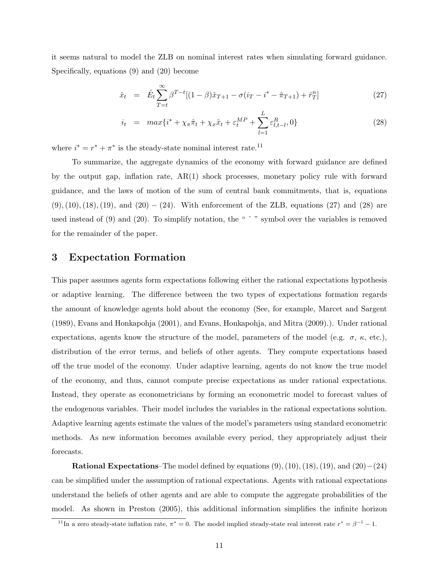it seems natural to model the ZLB on nominal interest rates when simulating forward guidance. Specifically, equations (9) and (20) become

$$
\hat{x}_t = \hat{E}_t \sum_{T=t}^{\infty} \beta^{T-t} [(1-\beta)\hat{x}_{T+1} - \sigma(i_T - i^* - \hat{\pi}_{T+1}) + \hat{r}_T^n] \tag{27}
$$

$$
i_{t} = max\{i^{*} + \chi_{\pi}\hat{\pi}_{t} + \chi_{x}\hat{x}_{t} + \varepsilon_{t}^{MP} + \sum_{l=1}^{L} \varepsilon_{l,t-l}^{R}, 0\}
$$
\n(28)

where  $i^* = r^* + \pi^*$  is the steady-state nominal interest rate.<sup>11</sup>

To summarize, the aggregate dynamics of the economy with forward guidance are defined by the output gap, inflation rate, AR(1) shock processes, monetary policy rule with forward guidance, and the laws of motion of the sum of central bank commitments, that is, equations  $(9), (10), (18), (19),$  and  $(20) - (24)$ . With enforcement of the ZLB, equations (27) and (28) are used instead of (9) and (20). To simplify notation, the "  $\hat{ }$  " symbol over the variables is removed for the remainder of the paper.

## 3 Expectation Formation

This paper assumes agents form expectations following either the rational expectations hypothesis or adaptive learning. The difference between the two types of expectations formation regards the amount of knowledge agents hold about the economy (See, for example, Marcet and Sargent (1989), Evans and Honkapohja (2001), and Evans, Honkapohja, and Mitra (2009).). Under rational expectations, agents know the structure of the model, parameters of the model (e.g.  $\sigma$ ,  $\kappa$ , etc.), distribution of the error terms, and beliefs of other agents. They compute expectations based off the true model of the economy. Under adaptive learning, agents do not know the true model of the economy, and thus, cannot compute precise expectations as under rational expectations. Instead, they operate as econometricians by forming an econometric model to forecast values of the endogenous variables. Their model includes the variables in the rational expectations solution. Adaptive learning agents estimate the values of the model's parameters using standard econometric methods. As new information becomes available every period, they appropriately adjust their forecasts.

**Rational Expectations–The model defined by equations**  $(9), (10), (18), (19),$  **and**  $(20)–(24)$ can be simplified under the assumption of rational expectations. Agents with rational expectations understand the beliefs of other agents and are able to compute the aggregate probabilities of the model. As shown in Preston (2005), this additional information simplifies the infinite horizon

<sup>&</sup>lt;sup>11</sup>In a zero steady-state inflation rate,  $\pi^* = 0$ . The model implied steady-state real interest rate  $r^* = \beta^{-1} - 1$ .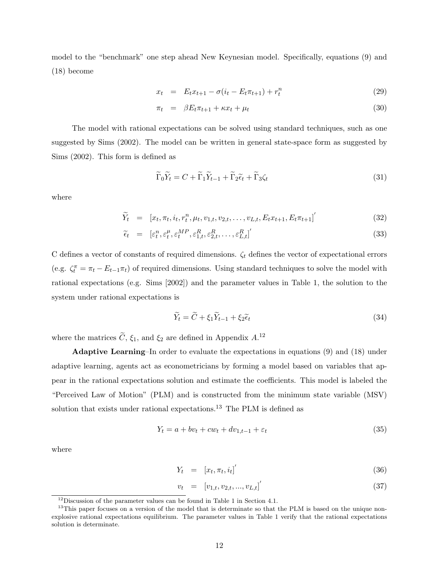model to the "benchmark" one step ahead New Keynesian model. Specifically, equations (9) and (18) become

$$
x_t = E_t x_{t+1} - \sigma(i_t - E_t \pi_{t+1}) + r_t^n \tag{29}
$$

$$
\pi_t = \beta E_t \pi_{t+1} + \kappa x_t + \mu_t \tag{30}
$$

The model with rational expectations can be solved using standard techniques, such as one suggested by Sims (2002). The model can be written in general state-space form as suggested by Sims (2002). This form is defined as

$$
\widetilde{\Gamma}_0 \widetilde{Y}_t = C + \widetilde{\Gamma}_1 \widetilde{Y}_{t-1} + \widetilde{\Gamma}_2 \widetilde{\epsilon}_t + \widetilde{\Gamma}_3 \zeta_t \tag{31}
$$

where

$$
\widetilde{Y}_t = [x_t, \pi_t, i_t, r_t^n, \mu_t, v_{1,t}, v_{2,t}, \dots, v_{L,t}, E_t x_{t+1}, E_t \pi_{t+1}]'
$$
\n(32)

$$
\tilde{\epsilon}_t = [\varepsilon_t^n, \varepsilon_t^\mu, \varepsilon_t^{MP}, \varepsilon_{1,t}^R, \varepsilon_{2,t}^R, \dots, \varepsilon_{L,t}^R]^{'}
$$
\n(33)

C defines a vector of constants of required dimensions.  $\zeta_t$  defines the vector of expectational errors (e.g.  $\zeta_t^{\pi} = \pi_t - E_{t-1}\pi_t$ ) of required dimensions. Using standard techniques to solve the model with rational expectations (e.g. Sims [2002]) and the parameter values in Table 1, the solution to the system under rational expectations is

$$
\widetilde{Y}_t = \widetilde{C} + \xi_1 \widetilde{Y}_{t-1} + \xi_2 \widetilde{\epsilon}_t \tag{34}
$$

where the matrices  $\tilde{C}$ ,  $\xi_1$ , and  $\xi_2$  are defined in Appendix  $A$ .<sup>12</sup>

Adaptive Learning–In order to evaluate the expectations in equations (9) and (18) under adaptive learning, agents act as econometricians by forming a model based on variables that appear in the rational expectations solution and estimate the coefficients. This model is labeled the "Perceived Law of Motion" (PLM) and is constructed from the minimum state variable (MSV) solution that exists under rational expectations.<sup>13</sup> The PLM is defined as

$$
Y_t = a + bv_t + cw_t + dv_{1,t-1} + \varepsilon_t \tag{35}
$$

where

$$
Y_t = [x_t, \pi_t, i_t]'
$$
\n(36)

$$
v_t = [v_{1,t}, v_{2,t}, ..., v_{L,t}]'
$$
\n(37)

<sup>12</sup>Discussion of the parameter values can be found in Table 1 in Section 4.1.

<sup>&</sup>lt;sup>13</sup>This paper focuses on a version of the model that is determinate so that the PLM is based on the unique nonexplosive rational expectations equilibrium. The parameter values in Table 1 verify that the rational expectations solution is determinate.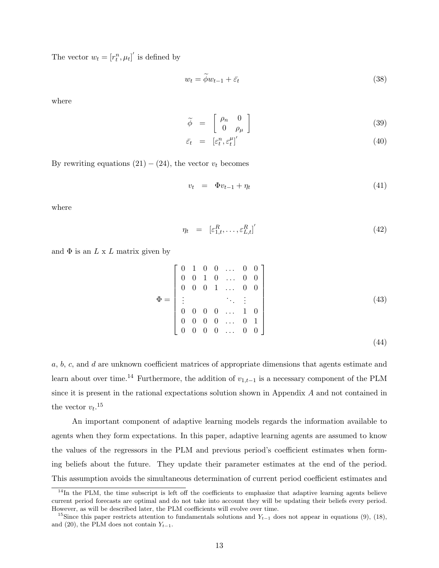The vector  $w_t = [r_t^n, \mu_t]'$  is defined by

$$
w_t = \tilde{\phi} w_{t-1} + \bar{\varepsilon}_t \tag{38}
$$

where

$$
\widetilde{\phi} = \begin{bmatrix} \rho_n & 0 \\ 0 & \rho_\mu \end{bmatrix} \tag{39}
$$

$$
\bar{\varepsilon}_t = \left[ \varepsilon_t^n, \varepsilon_t^\mu \right]'
$$
\n(40)

By rewriting equations  $(21) - (24)$ , the vector  $v_t$  becomes

$$
v_t = \Phi v_{t-1} + \eta_t \tag{41}
$$

where

$$
\eta_t = \left[ \varepsilon_{1,t}^R, \dots, \varepsilon_{L,t}^R \right]'
$$
\n(42)

and  $\Phi$  is an  $L \times L$  matrix given by

$$
\Phi = \begin{bmatrix} 0 & 1 & 0 & 0 & \dots & 0 & 0 \\ 0 & 0 & 1 & 0 & \dots & 0 & 0 \\ 0 & 0 & 0 & 1 & \dots & 0 & 0 \\ \vdots & & & & \ddots & \vdots \\ 0 & 0 & 0 & 0 & \dots & 1 & 0 \\ 0 & 0 & 0 & 0 & \dots & 0 & 1 \\ 0 & 0 & 0 & 0 & \dots & 0 & 0 \end{bmatrix}
$$
(43)

a, b, c, and d are unknown coefficient matrices of appropriate dimensions that agents estimate and learn about over time.<sup>14</sup> Furthermore, the addition of  $v_{1,t-1}$  is a necessary component of the PLM since it is present in the rational expectations solution shown in Appendix A and not contained in the vector  $v_t$ <sup>15</sup>

An important component of adaptive learning models regards the information available to agents when they form expectations. In this paper, adaptive learning agents are assumed to know the values of the regressors in the PLM and previous period's coefficient estimates when forming beliefs about the future. They update their parameter estimates at the end of the period. This assumption avoids the simultaneous determination of current period coefficient estimates and

 $14$ In the PLM, the time subscript is left off the coefficients to emphasize that adaptive learning agents believe current period forecasts are optimal and do not take into account they will be updating their beliefs every period. However, as will be described later, the PLM coefficients will evolve over time.

<sup>&</sup>lt;sup>15</sup>Since this paper restricts attention to fundamentals solutions and  $Y_{t-1}$  does not appear in equations (9), (18), and (20), the PLM does not contain  $Y_{t-1}$ .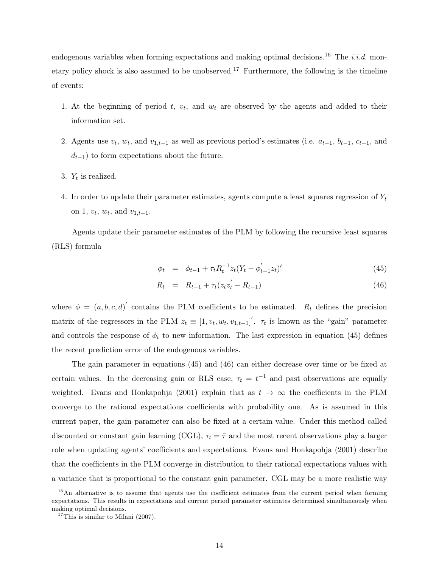endogenous variables when forming expectations and making optimal decisions.<sup>16</sup> The *i.i.d.* monetary policy shock is also assumed to be unobserved.<sup>17</sup> Furthermore, the following is the timeline of events:

- 1. At the beginning of period  $t, v_t$ , and  $w_t$  are observed by the agents and added to their information set.
- 2. Agents use  $v_t$ ,  $w_t$ , and  $v_{1,t-1}$  as well as previous period's estimates (i.e.  $a_{t-1}$ ,  $b_{t-1}$ ,  $c_{t-1}$ , and  $d_{t-1}$ ) to form expectations about the future.
- 3.  $Y_t$  is realized.
- 4. In order to update their parameter estimates, agents compute a least squares regression of  $Y_t$ on 1,  $v_t$ ,  $w_t$ , and  $v_{1,t-1}$ .

Agents update their parameter estimates of the PLM by following the recursive least squares (RLS) formula

$$
\phi_t = \phi_{t-1} + \tau_t R_t^{-1} z_t (Y_t - \phi_{t-1}' z_t)'
$$
\n(45)

$$
R_t = R_{t-1} + \tau_t (z_t z_t' - R_{t-1}) \tag{46}
$$

where  $\phi = (a, b, c, d)'$  contains the PLM coefficients to be estimated.  $R_t$  defines the precision matrix of the regressors in the PLM  $z_t \equiv [1, v_t, w_t, v_{1,t-1}]'$ .  $\tau_t$  is known as the "gain" parameter and controls the response of  $\phi_t$  to new information. The last expression in equation (45) defines the recent prediction error of the endogenous variables.

The gain parameter in equations (45) and (46) can either decrease over time or be fixed at certain values. In the decreasing gain or RLS case,  $\tau_t = t^{-1}$  and past observations are equally weighted. Evans and Honkapohja (2001) explain that as  $t \to \infty$  the coefficients in the PLM converge to the rational expectations coefficients with probability one. As is assumed in this current paper, the gain parameter can also be fixed at a certain value. Under this method called discounted or constant gain learning (CGL),  $\tau_t = \bar{\tau}$  and the most recent observations play a larger role when updating agents' coefficients and expectations. Evans and Honkapohja (2001) describe that the coefficients in the PLM converge in distribution to their rational expectations values with a variance that is proportional to the constant gain parameter. CGL may be a more realistic way

<sup>&</sup>lt;sup>16</sup>An alternative is to assume that agents use the coefficient estimates from the current period when forming expectations. This results in expectations and current period parameter estimates determined simultaneously when making optimal decisions.

 $17$ This is similar to Milani (2007).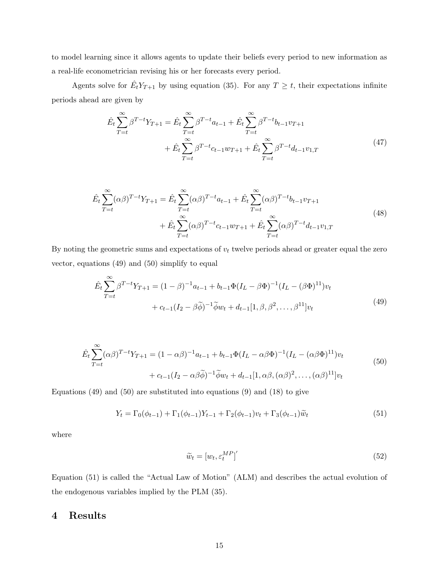to model learning since it allows agents to update their beliefs every period to new information as a real-life econometrician revising his or her forecasts every period.

Agents solve for  $\hat{E}_t Y_{T+1}$  by using equation (35). For any  $T \geq t$ , their expectations infinite periods ahead are given by

$$
\hat{E}_t \sum_{T=t}^{\infty} \beta^{T-t} Y_{T+1} = \hat{E}_t \sum_{T=t}^{\infty} \beta^{T-t} a_{t-1} + \hat{E}_t \sum_{T=t}^{\infty} \beta^{T-t} b_{t-1} v_{T+1} \n+ \hat{E}_t \sum_{T=t}^{\infty} \beta^{T-t} c_{t-1} w_{T+1} + \hat{E}_t \sum_{T=t}^{\infty} \beta^{T-t} d_{t-1} v_{1,T}
$$
\n(47)

$$
\hat{E}_t \sum_{T=t}^{\infty} (\alpha \beta)^{T-t} Y_{T+1} = \hat{E}_t \sum_{T=t}^{\infty} (\alpha \beta)^{T-t} a_{t-1} + \hat{E}_t \sum_{T=t}^{\infty} (\alpha \beta)^{T-t} b_{t-1} v_{T+1} \n+ \hat{E}_t \sum_{T=t}^{\infty} (\alpha \beta)^{T-t} c_{t-1} w_{T+1} + \hat{E}_t \sum_{T=t}^{\infty} (\alpha \beta)^{T-t} d_{t-1} v_{1,T}
$$
\n(48)

By noting the geometric sums and expectations of  $v_t$  twelve periods ahead or greater equal the zero vector, equations (49) and (50) simplify to equal

$$
\hat{E}_t \sum_{T=t}^{\infty} \beta^{T-t} Y_{T+1} = (1 - \beta)^{-1} a_{t-1} + b_{t-1} \Phi (I_L - \beta \Phi)^{-1} (I_L - (\beta \Phi)^{11}) v_t \n+ c_{t-1} (I_2 - \beta \widetilde{\phi})^{-1} \widetilde{\phi} w_t + d_{t-1} [1, \beta, \beta^2, \dots, \beta^{11}] v_t
$$
\n(49)

$$
\hat{E}_t \sum_{T=t}^{\infty} (\alpha \beta)^{T-t} Y_{T+1} = (1 - \alpha \beta)^{-1} a_{t-1} + b_{t-1} \Phi (I_L - \alpha \beta \Phi)^{-1} (I_L - (\alpha \beta \Phi)^{11}) v_t \n+ c_{t-1} (I_2 - \alpha \beta \widetilde{\phi})^{-1} \widetilde{\phi} w_t + d_{t-1} [1, \alpha \beta, (\alpha \beta)^2, \dots, (\alpha \beta)^{11}] v_t
$$
\n(50)

Equations  $(49)$  and  $(50)$  are substituted into equations  $(9)$  and  $(18)$  to give

$$
Y_t = \Gamma_0(\phi_{t-1}) + \Gamma_1(\phi_{t-1})Y_{t-1} + \Gamma_2(\phi_{t-1})v_t + \Gamma_3(\phi_{t-1})\tilde{w}_t
$$
\n(51)

where

$$
\widetilde{w}_t = [w_t, \varepsilon_t^{MP}]' \tag{52}
$$

Equation (51) is called the "Actual Law of Motion" (ALM) and describes the actual evolution of the endogenous variables implied by the PLM (35).

## 4 Results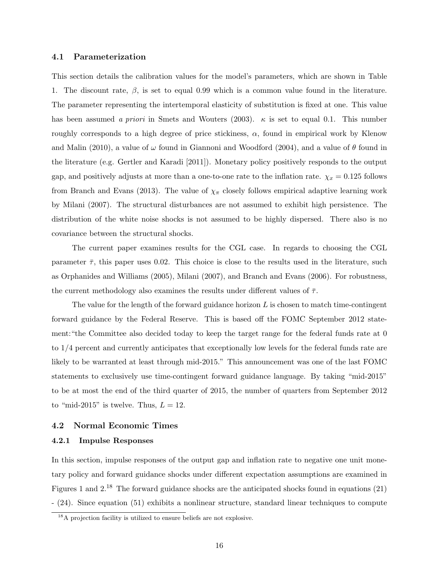#### 4.1 Parameterization

This section details the calibration values for the model's parameters, which are shown in Table 1. The discount rate,  $\beta$ , is set to equal 0.99 which is a common value found in the literature. The parameter representing the intertemporal elasticity of substitution is fixed at one. This value has been assumed a priori in Smets and Wouters (2003).  $\kappa$  is set to equal 0.1. This number roughly corresponds to a high degree of price stickiness,  $\alpha$ , found in empirical work by Klenow and Malin (2010), a value of  $\omega$  found in Giannoni and Woodford (2004), and a value of  $\theta$  found in the literature (e.g. Gertler and Karadi [2011]). Monetary policy positively responds to the output gap, and positively adjusts at more than a one-to-one rate to the inflation rate.  $\chi_x = 0.125$  follows from Branch and Evans (2013). The value of  $\chi_{\pi}$  closely follows empirical adaptive learning work by Milani (2007). The structural disturbances are not assumed to exhibit high persistence. The distribution of the white noise shocks is not assumed to be highly dispersed. There also is no covariance between the structural shocks.

The current paper examines results for the CGL case. In regards to choosing the CGL parameter  $\bar{\tau}$ , this paper uses 0.02. This choice is close to the results used in the literature, such as Orphanides and Williams (2005), Milani (2007), and Branch and Evans (2006). For robustness, the current methodology also examines the results under different values of  $\bar{\tau}$ .

The value for the length of the forward guidance horizon  $L$  is chosen to match time-contingent forward guidance by the Federal Reserve. This is based off the FOMC September 2012 statement:"the Committee also decided today to keep the target range for the federal funds rate at 0 to 1/4 percent and currently anticipates that exceptionally low levels for the federal funds rate are likely to be warranted at least through mid-2015." This announcement was one of the last FOMC statements to exclusively use time-contingent forward guidance language. By taking "mid-2015" to be at most the end of the third quarter of 2015, the number of quarters from September 2012 to "mid-2015" is twelve. Thus,  $L = 12$ .

#### 4.2 Normal Economic Times

#### 4.2.1 Impulse Responses

In this section, impulse responses of the output gap and inflation rate to negative one unit monetary policy and forward guidance shocks under different expectation assumptions are examined in Figures 1 and 2.<sup>18</sup> The forward guidance shocks are the anticipated shocks found in equations (21) - (24). Since equation (51) exhibits a nonlinear structure, standard linear techniques to compute

<sup>&</sup>lt;sup>18</sup>A projection facility is utilized to ensure beliefs are not explosive.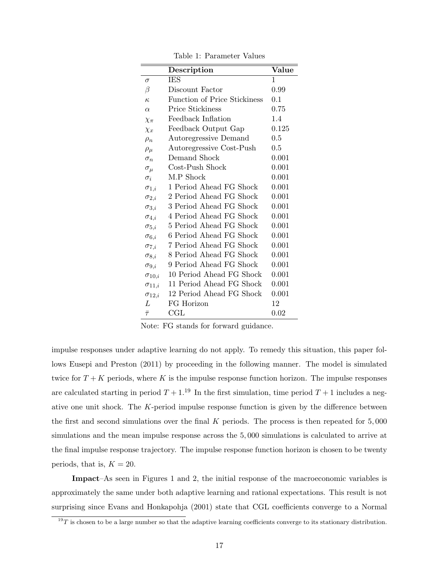|                 | Description                  | Value |
|-----------------|------------------------------|-------|
| $\sigma$        | <b>IES</b>                   | 1     |
| β               | Discount Factor              | 0.99  |
| $\kappa$        | Function of Price Stickiness | 0.1   |
| $\alpha$        | Price Stickiness             | 0.75  |
| $\chi_{\pi}$    | Feedback Inflation           | 1.4   |
| $\chi_x$        | Feedback Output Gap          | 0.125 |
| $\rho_n$        | Autoregressive Demand        | 0.5   |
| $\rho_\mu$      | Autoregressive Cost-Push     | 0.5   |
| $\sigma_n$      | Demand Shock                 | 0.001 |
| $\sigma_{\mu}$  | Cost-Push Shock              | 0.001 |
| $\sigma_i$      | M.P Shock                    | 0.001 |
| $\sigma_{1,i}$  | 1 Period Ahead FG Shock      | 0.001 |
| $\sigma_{2,i}$  | 2 Period Ahead FG Shock      | 0.001 |
| $\sigma_{3,i}$  | 3 Period Ahead FG Shock      | 0.001 |
| $\sigma_{4,i}$  | 4 Period Ahead FG Shock      | 0.001 |
| $\sigma_{5,i}$  | 5 Period Ahead FG Shock      | 0.001 |
| $\sigma_{6,i}$  | 6 Period Ahead FG Shock      | 0.001 |
| $\sigma_{7,i}$  | 7 Period Ahead FG Shock      | 0.001 |
| $\sigma_{8,i}$  | 8 Period Ahead FG Shock      | 0.001 |
| $\sigma_{9,i}$  | 9 Period Ahead FG Shock      | 0.001 |
| $\sigma_{10,i}$ | 10 Period Ahead FG Shock     | 0.001 |
| $\sigma_{11,i}$ | 11 Period Ahead FG Shock     | 0.001 |
| $\sigma_{12,i}$ | 12 Period Ahead FG Shock     | 0.001 |
| L               | FG Horizon                   | 12    |
| $\bar{\tau}$    | $_{\rm CGL}$                 | 0.02  |

Table 1: Parameter Values

Note: FG stands for forward guidance.

impulse responses under adaptive learning do not apply. To remedy this situation, this paper follows Eusepi and Preston (2011) by proceeding in the following manner. The model is simulated twice for  $T + K$  periods, where K is the impulse response function horizon. The impulse responses are calculated starting in period  $T + 1$ .<sup>19</sup> In the first simulation, time period  $T + 1$  includes a negative one unit shock. The K-period impulse response function is given by the difference between the first and second simulations over the final K periods. The process is then repeated for 5, 000 simulations and the mean impulse response across the 5, 000 simulations is calculated to arrive at the final impulse response trajectory. The impulse response function horizon is chosen to be twenty periods, that is,  $K = 20$ .

Impact–As seen in Figures 1 and 2, the initial response of the macroeconomic variables is approximately the same under both adaptive learning and rational expectations. This result is not surprising since Evans and Honkapohja (2001) state that CGL coefficients converge to a Normal

 $19T$  is chosen to be a large number so that the adaptive learning coefficients converge to its stationary distribution.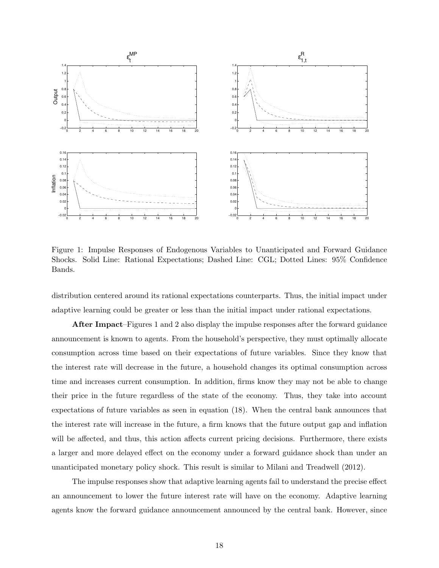

Figure 1: Impulse Responses of Endogenous Variables to Unanticipated and Forward Guidance Shocks. Solid Line: Rational Expectations; Dashed Line: CGL; Dotted Lines: 95% Confidence Bands.

distribution centered around its rational expectations counterparts. Thus, the initial impact under adaptive learning could be greater or less than the initial impact under rational expectations.

After Impact–Figures 1 and 2 also display the impulse responses after the forward guidance announcement is known to agents. From the household's perspective, they must optimally allocate consumption across time based on their expectations of future variables. Since they know that the interest rate will decrease in the future, a household changes its optimal consumption across time and increases current consumption. In addition, firms know they may not be able to change their price in the future regardless of the state of the economy. Thus, they take into account expectations of future variables as seen in equation (18). When the central bank announces that the interest rate will increase in the future, a firm knows that the future output gap and inflation will be affected, and thus, this action affects current pricing decisions. Furthermore, there exists a larger and more delayed effect on the economy under a forward guidance shock than under an unanticipated monetary policy shock. This result is similar to Milani and Treadwell (2012).

The impulse responses show that adaptive learning agents fail to understand the precise effect an announcement to lower the future interest rate will have on the economy. Adaptive learning agents know the forward guidance announcement announced by the central bank. However, since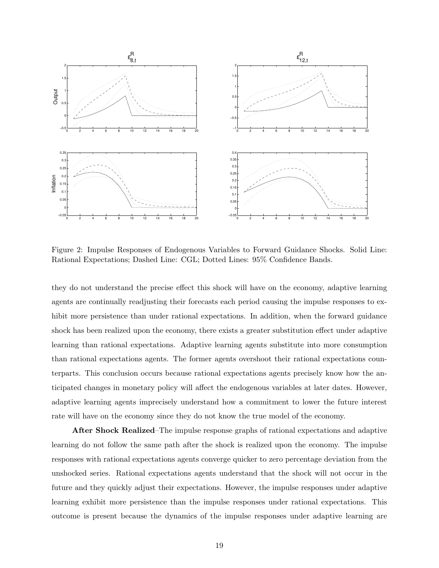

Figure 2: Impulse Responses of Endogenous Variables to Forward Guidance Shocks. Solid Line: Rational Expectations; Dashed Line: CGL; Dotted Lines: 95% Confidence Bands.

they do not understand the precise effect this shock will have on the economy, adaptive learning agents are continually readjusting their forecasts each period causing the impulse responses to exhibit more persistence than under rational expectations. In addition, when the forward guidance shock has been realized upon the economy, there exists a greater substitution effect under adaptive learning than rational expectations. Adaptive learning agents substitute into more consumption than rational expectations agents. The former agents overshoot their rational expectations counterparts. This conclusion occurs because rational expectations agents precisely know how the anticipated changes in monetary policy will affect the endogenous variables at later dates. However, adaptive learning agents imprecisely understand how a commitment to lower the future interest rate will have on the economy since they do not know the true model of the economy.

After Shock Realized–The impulse response graphs of rational expectations and adaptive learning do not follow the same path after the shock is realized upon the economy. The impulse responses with rational expectations agents converge quicker to zero percentage deviation from the unshocked series. Rational expectations agents understand that the shock will not occur in the future and they quickly adjust their expectations. However, the impulse responses under adaptive learning exhibit more persistence than the impulse responses under rational expectations. This outcome is present because the dynamics of the impulse responses under adaptive learning are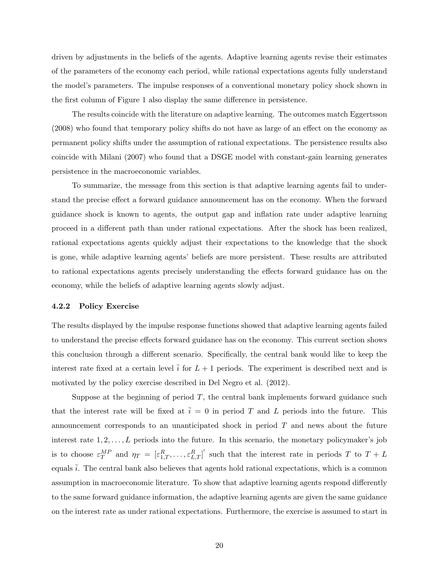driven by adjustments in the beliefs of the agents. Adaptive learning agents revise their estimates of the parameters of the economy each period, while rational expectations agents fully understand the model's parameters. The impulse responses of a conventional monetary policy shock shown in the first column of Figure 1 also display the same difference in persistence.

The results coincide with the literature on adaptive learning. The outcomes match Eggertsson (2008) who found that temporary policy shifts do not have as large of an effect on the economy as permanent policy shifts under the assumption of rational expectations. The persistence results also coincide with Milani (2007) who found that a DSGE model with constant-gain learning generates persistence in the macroeconomic variables.

To summarize, the message from this section is that adaptive learning agents fail to understand the precise effect a forward guidance announcement has on the economy. When the forward guidance shock is known to agents, the output gap and inflation rate under adaptive learning proceed in a different path than under rational expectations. After the shock has been realized, rational expectations agents quickly adjust their expectations to the knowledge that the shock is gone, while adaptive learning agents' beliefs are more persistent. These results are attributed to rational expectations agents precisely understanding the effects forward guidance has on the economy, while the beliefs of adaptive learning agents slowly adjust.

#### 4.2.2 Policy Exercise

The results displayed by the impulse response functions showed that adaptive learning agents failed to understand the precise effects forward guidance has on the economy. This current section shows this conclusion through a different scenario. Specifically, the central bank would like to keep the interest rate fixed at a certain level  $\overline{i}$  for  $L + 1$  periods. The experiment is described next and is motivated by the policy exercise described in Del Negro et al. (2012).

Suppose at the beginning of period  $T$ , the central bank implements forward guidance such that the interest rate will be fixed at  $\bar{i} = 0$  in period T and L periods into the future. This announcement corresponds to an unanticipated shock in period  $T$  and news about the future interest rate  $1, 2, \ldots, L$  periods into the future. In this scenario, the monetary policymaker's job is to choose  $\varepsilon_T^{MP}$  and  $\eta_T = [\varepsilon_{1,T}^R, \ldots, \varepsilon_{L,T}^R]'$  such that the interest rate in periods T to  $T + L$ equals  $\overline{i}$ . The central bank also believes that agents hold rational expectations, which is a common assumption in macroeconomic literature. To show that adaptive learning agents respond differently to the same forward guidance information, the adaptive learning agents are given the same guidance on the interest rate as under rational expectations. Furthermore, the exercise is assumed to start in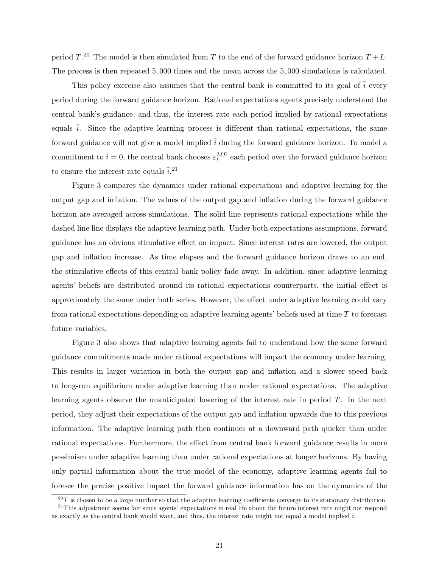period  $T^{20}$  The model is then simulated from T to the end of the forward guidance horizon  $T + L$ . The process is then repeated 5, 000 times and the mean across the 5, 000 simulations is calculated.

This policy exercise also assumes that the central bank is committed to its goal of  $\overline{i}$  every period during the forward guidance horizon. Rational expectations agents precisely understand the central bank's guidance, and thus, the interest rate each period implied by rational expectations equals  $\overline{i}$ . Since the adaptive learning process is different than rational expectations, the same forward guidance will not give a model implied  $\overline{i}$  during the forward guidance horizon. To model a commitment to  $\bar{i} = 0$ , the central bank chooses  $\varepsilon_t^{MP}$  each period over the forward guidance horizon to ensure the interest rate equals  $\bar{i}$ .<sup>21</sup>

Figure 3 compares the dynamics under rational expectations and adaptive learning for the output gap and inflation. The values of the output gap and inflation during the forward guidance horizon are averaged across simulations. The solid line represents rational expectations while the dashed line line displays the adaptive learning path. Under both expectations assumptions, forward guidance has an obvious stimulative effect on impact. Since interest rates are lowered, the output gap and inflation increase. As time elapses and the forward guidance horizon draws to an end, the stimulative effects of this central bank policy fade away. In addition, since adaptive learning agents' beliefs are distributed around its rational expectations counterparts, the initial effect is approximately the same under both series. However, the effect under adaptive learning could vary from rational expectations depending on adaptive learning agents' beliefs used at time T to forecast future variables.

Figure 3 also shows that adaptive learning agents fail to understand how the same forward guidance commitments made under rational expectations will impact the economy under learning. This results in larger variation in both the output gap and inflation and a slower speed back to long-run equilibrium under adaptive learning than under rational expectations. The adaptive learning agents observe the unanticipated lowering of the interest rate in period T. In the next period, they adjust their expectations of the output gap and inflation upwards due to this previous information. The adaptive learning path then continues at a downward path quicker than under rational expectations. Furthermore, the effect from central bank forward guidance results in more pessimism under adaptive learning than under rational expectations at longer horizons. By having only partial information about the true model of the economy, adaptive learning agents fail to foresee the precise positive impact the forward guidance information has on the dynamics of the

 $^{20}T$  is chosen to be a large number so that the adaptive learning coefficients converge to its stationary distribution.

<sup>&</sup>lt;sup>21</sup>This adjustment seems fair since agents' expectations in real life about the future interest rate might not respond as exactly as the central bank would want, and thus, the interest rate might not equal a model implied  $\overline{i}$ .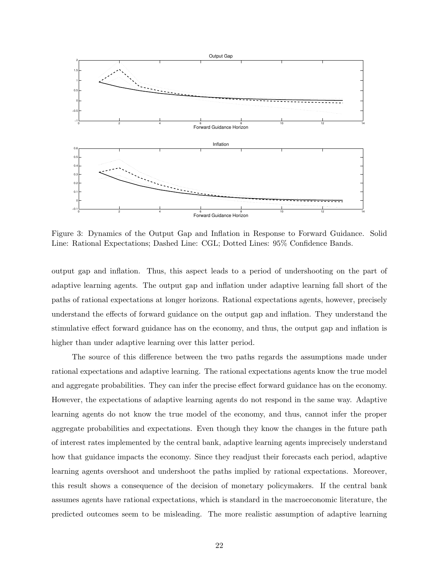

Figure 3: Dynamics of the Output Gap and Inflation in Response to Forward Guidance. Solid Line: Rational Expectations; Dashed Line: CGL; Dotted Lines: 95% Confidence Bands.

output gap and inflation. Thus, this aspect leads to a period of undershooting on the part of adaptive learning agents. The output gap and inflation under adaptive learning fall short of the paths of rational expectations at longer horizons. Rational expectations agents, however, precisely understand the effects of forward guidance on the output gap and inflation. They understand the stimulative effect forward guidance has on the economy, and thus, the output gap and inflation is higher than under adaptive learning over this latter period.

The source of this difference between the two paths regards the assumptions made under rational expectations and adaptive learning. The rational expectations agents know the true model and aggregate probabilities. They can infer the precise effect forward guidance has on the economy. However, the expectations of adaptive learning agents do not respond in the same way. Adaptive learning agents do not know the true model of the economy, and thus, cannot infer the proper aggregate probabilities and expectations. Even though they know the changes in the future path of interest rates implemented by the central bank, adaptive learning agents imprecisely understand how that guidance impacts the economy. Since they readjust their forecasts each period, adaptive learning agents overshoot and undershoot the paths implied by rational expectations. Moreover, this result shows a consequence of the decision of monetary policymakers. If the central bank assumes agents have rational expectations, which is standard in the macroeconomic literature, the predicted outcomes seem to be misleading. The more realistic assumption of adaptive learning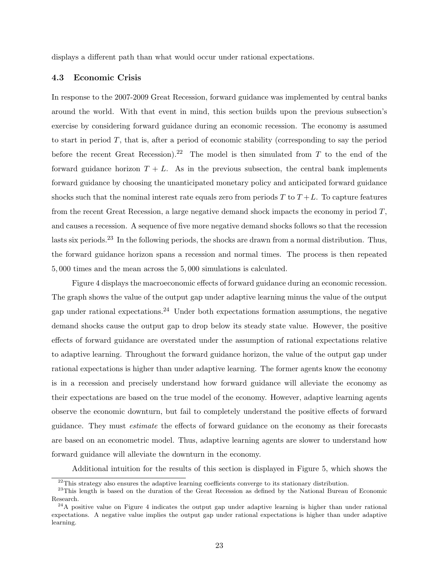displays a different path than what would occur under rational expectations.

#### 4.3 Economic Crisis

In response to the 2007-2009 Great Recession, forward guidance was implemented by central banks around the world. With that event in mind, this section builds upon the previous subsection's exercise by considering forward guidance during an economic recession. The economy is assumed to start in period T, that is, after a period of economic stability (corresponding to say the period before the recent Great Recession).<sup>22</sup> The model is then simulated from T to the end of the forward guidance horizon  $T + L$ . As in the previous subsection, the central bank implements forward guidance by choosing the unanticipated monetary policy and anticipated forward guidance shocks such that the nominal interest rate equals zero from periods  $T$  to  $T + L$ . To capture features from the recent Great Recession, a large negative demand shock impacts the economy in period T, and causes a recession. A sequence of five more negative demand shocks follows so that the recession lasts six periods.<sup>23</sup> In the following periods, the shocks are drawn from a normal distribution. Thus, the forward guidance horizon spans a recession and normal times. The process is then repeated 5, 000 times and the mean across the 5, 000 simulations is calculated.

Figure 4 displays the macroeconomic effects of forward guidance during an economic recession. The graph shows the value of the output gap under adaptive learning minus the value of the output gap under rational expectations.<sup>24</sup> Under both expectations formation assumptions, the negative demand shocks cause the output gap to drop below its steady state value. However, the positive effects of forward guidance are overstated under the assumption of rational expectations relative to adaptive learning. Throughout the forward guidance horizon, the value of the output gap under rational expectations is higher than under adaptive learning. The former agents know the economy is in a recession and precisely understand how forward guidance will alleviate the economy as their expectations are based on the true model of the economy. However, adaptive learning agents observe the economic downturn, but fail to completely understand the positive effects of forward guidance. They must estimate the effects of forward guidance on the economy as their forecasts are based on an econometric model. Thus, adaptive learning agents are slower to understand how forward guidance will alleviate the downturn in the economy.

Additional intuition for the results of this section is displayed in Figure 5, which shows the

 $22$ This strategy also ensures the adaptive learning coefficients converge to its stationary distribution.

<sup>&</sup>lt;sup>23</sup>This length is based on the duration of the Great Recession as defined by the National Bureau of Economic Research.

 $^{24}$ A positive value on Figure 4 indicates the output gap under adaptive learning is higher than under rational expectations. A negative value implies the output gap under rational expectations is higher than under adaptive learning.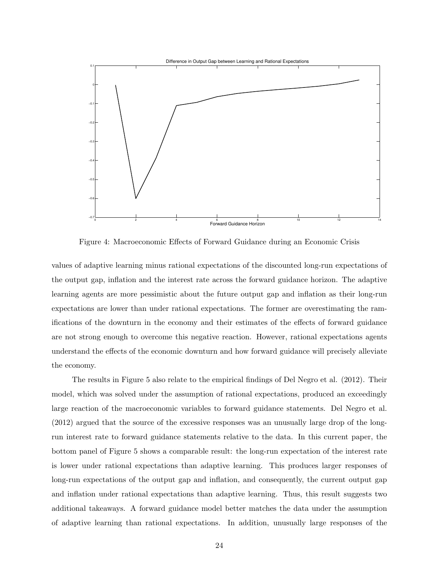

Figure 4: Macroeconomic Effects of Forward Guidance during an Economic Crisis

values of adaptive learning minus rational expectations of the discounted long-run expectations of the output gap, inflation and the interest rate across the forward guidance horizon. The adaptive learning agents are more pessimistic about the future output gap and inflation as their long-run expectations are lower than under rational expectations. The former are overestimating the ramifications of the downturn in the economy and their estimates of the effects of forward guidance are not strong enough to overcome this negative reaction. However, rational expectations agents understand the effects of the economic downturn and how forward guidance will precisely alleviate the economy.

The results in Figure 5 also relate to the empirical findings of Del Negro et al. (2012). Their model, which was solved under the assumption of rational expectations, produced an exceedingly large reaction of the macroeconomic variables to forward guidance statements. Del Negro et al. (2012) argued that the source of the excessive responses was an unusually large drop of the longrun interest rate to forward guidance statements relative to the data. In this current paper, the bottom panel of Figure 5 shows a comparable result: the long-run expectation of the interest rate is lower under rational expectations than adaptive learning. This produces larger responses of long-run expectations of the output gap and inflation, and consequently, the current output gap and inflation under rational expectations than adaptive learning. Thus, this result suggests two additional takeaways. A forward guidance model better matches the data under the assumption of adaptive learning than rational expectations. In addition, unusually large responses of the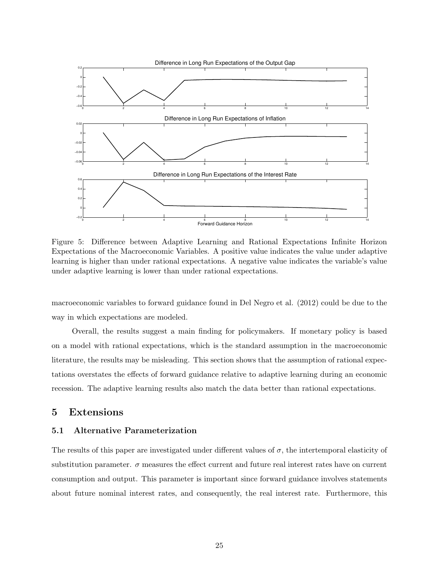

Figure 5: Difference between Adaptive Learning and Rational Expectations Infinite Horizon Expectations of the Macroeconomic Variables. A positive value indicates the value under adaptive learning is higher than under rational expectations. A negative value indicates the variable's value under adaptive learning is lower than under rational expectations.

macroeconomic variables to forward guidance found in Del Negro et al. (2012) could be due to the way in which expectations are modeled.

Overall, the results suggest a main finding for policymakers. If monetary policy is based on a model with rational expectations, which is the standard assumption in the macroeconomic literature, the results may be misleading. This section shows that the assumption of rational expectations overstates the effects of forward guidance relative to adaptive learning during an economic recession. The adaptive learning results also match the data better than rational expectations.

## 5 Extensions

### 5.1 Alternative Parameterization

The results of this paper are investigated under different values of  $\sigma$ , the intertemporal elasticity of substitution parameter.  $\sigma$  measures the effect current and future real interest rates have on current consumption and output. This parameter is important since forward guidance involves statements about future nominal interest rates, and consequently, the real interest rate. Furthermore, this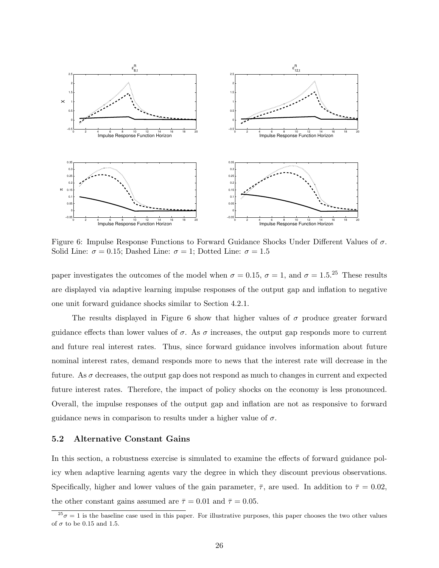

Figure 6: Impulse Response Functions to Forward Guidance Shocks Under Different Values of  $\sigma$ . Solid Line:  $\sigma = 0.15$ ; Dashed Line:  $\sigma = 1$ ; Dotted Line:  $\sigma = 1.5$ 

paper investigates the outcomes of the model when  $\sigma = 0.15$ ,  $\sigma = 1$ , and  $\sigma = 1.5$ .<sup>25</sup> These results are displayed via adaptive learning impulse responses of the output gap and inflation to negative one unit forward guidance shocks similar to Section 4.2.1.

The results displayed in Figure 6 show that higher values of  $\sigma$  produce greater forward guidance effects than lower values of  $\sigma$ . As  $\sigma$  increases, the output gap responds more to current and future real interest rates. Thus, since forward guidance involves information about future nominal interest rates, demand responds more to news that the interest rate will decrease in the future. As  $\sigma$  decreases, the output gap does not respond as much to changes in current and expected future interest rates. Therefore, the impact of policy shocks on the economy is less pronounced. Overall, the impulse responses of the output gap and inflation are not as responsive to forward guidance news in comparison to results under a higher value of  $\sigma$ .

#### 5.2 Alternative Constant Gains

In this section, a robustness exercise is simulated to examine the effects of forward guidance policy when adaptive learning agents vary the degree in which they discount previous observations. Specifically, higher and lower values of the gain parameter,  $\bar{\tau}$ , are used. In addition to  $\bar{\tau} = 0.02$ , the other constant gains assumed are  $\bar{\tau} = 0.01$  and  $\bar{\tau} = 0.05$ .

 $^{25}\sigma = 1$  is the baseline case used in this paper. For illustrative purposes, this paper chooses the two other values of  $\sigma$  to be 0.15 and 1.5.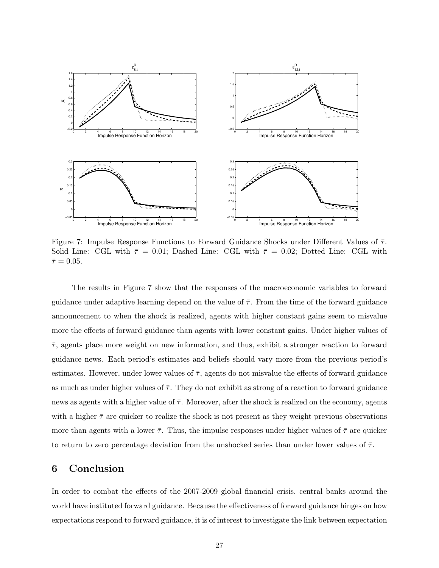

Figure 7: Impulse Response Functions to Forward Guidance Shocks under Different Values of  $\bar{\tau}$ . Solid Line: CGL with  $\bar{\tau} = 0.01$ ; Dashed Line: CGL with  $\bar{\tau} = 0.02$ ; Dotted Line: CGL with  $\bar{\tau}=0.05.$ 

The results in Figure 7 show that the responses of the macroeconomic variables to forward guidance under adaptive learning depend on the value of  $\bar{\tau}$ . From the time of the forward guidance announcement to when the shock is realized, agents with higher constant gains seem to misvalue more the effects of forward guidance than agents with lower constant gains. Under higher values of  $\bar{\tau}$ , agents place more weight on new information, and thus, exhibit a stronger reaction to forward guidance news. Each period's estimates and beliefs should vary more from the previous period's estimates. However, under lower values of  $\bar{\tau}$ , agents do not misvalue the effects of forward guidance as much as under higher values of  $\bar{\tau}$ . They do not exhibit as strong of a reaction to forward guidance news as agents with a higher value of  $\bar{\tau}$ . Moreover, after the shock is realized on the economy, agents with a higher  $\bar{\tau}$  are quicker to realize the shock is not present as they weight previous observations more than agents with a lower  $\bar{\tau}$ . Thus, the impulse responses under higher values of  $\bar{\tau}$  are quicker to return to zero percentage deviation from the unshocked series than under lower values of  $\bar{\tau}$ .

### 6 Conclusion

In order to combat the effects of the 2007-2009 global financial crisis, central banks around the world have instituted forward guidance. Because the effectiveness of forward guidance hinges on how expectations respond to forward guidance, it is of interest to investigate the link between expectation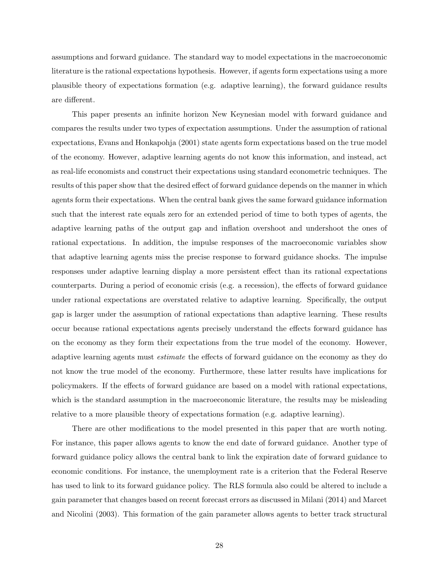assumptions and forward guidance. The standard way to model expectations in the macroeconomic literature is the rational expectations hypothesis. However, if agents form expectations using a more plausible theory of expectations formation (e.g. adaptive learning), the forward guidance results are different.

This paper presents an infinite horizon New Keynesian model with forward guidance and compares the results under two types of expectation assumptions. Under the assumption of rational expectations, Evans and Honkapohja (2001) state agents form expectations based on the true model of the economy. However, adaptive learning agents do not know this information, and instead, act as real-life economists and construct their expectations using standard econometric techniques. The results of this paper show that the desired effect of forward guidance depends on the manner in which agents form their expectations. When the central bank gives the same forward guidance information such that the interest rate equals zero for an extended period of time to both types of agents, the adaptive learning paths of the output gap and inflation overshoot and undershoot the ones of rational expectations. In addition, the impulse responses of the macroeconomic variables show that adaptive learning agents miss the precise response to forward guidance shocks. The impulse responses under adaptive learning display a more persistent effect than its rational expectations counterparts. During a period of economic crisis (e.g. a recession), the effects of forward guidance under rational expectations are overstated relative to adaptive learning. Specifically, the output gap is larger under the assumption of rational expectations than adaptive learning. These results occur because rational expectations agents precisely understand the effects forward guidance has on the economy as they form their expectations from the true model of the economy. However, adaptive learning agents must estimate the effects of forward guidance on the economy as they do not know the true model of the economy. Furthermore, these latter results have implications for policymakers. If the effects of forward guidance are based on a model with rational expectations, which is the standard assumption in the macroeconomic literature, the results may be misleading relative to a more plausible theory of expectations formation (e.g. adaptive learning).

There are other modifications to the model presented in this paper that are worth noting. For instance, this paper allows agents to know the end date of forward guidance. Another type of forward guidance policy allows the central bank to link the expiration date of forward guidance to economic conditions. For instance, the unemployment rate is a criterion that the Federal Reserve has used to link to its forward guidance policy. The RLS formula also could be altered to include a gain parameter that changes based on recent forecast errors as discussed in Milani (2014) and Marcet and Nicolini (2003). This formation of the gain parameter allows agents to better track structural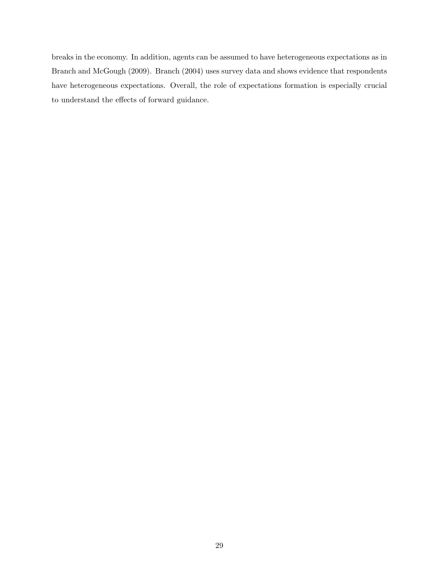breaks in the economy. In addition, agents can be assumed to have heterogeneous expectations as in Branch and McGough (2009). Branch (2004) uses survey data and shows evidence that respondents have heterogeneous expectations. Overall, the role of expectations formation is especially crucial to understand the effects of forward guidance.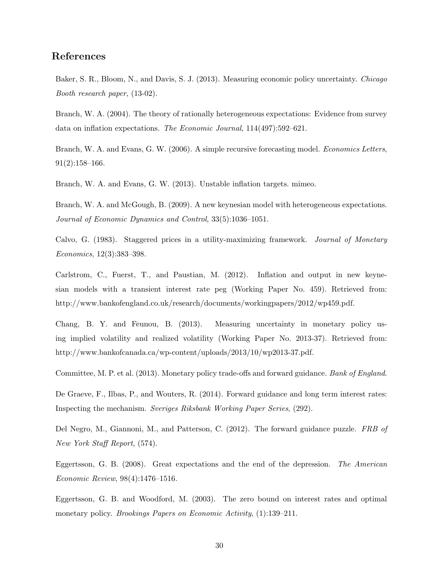## References

Baker, S. R., Bloom, N., and Davis, S. J. (2013). Measuring economic policy uncertainty. Chicago Booth research paper, (13-02).

Branch, W. A. (2004). The theory of rationally heterogeneous expectations: Evidence from survey data on inflation expectations. The Economic Journal, 114(497):592–621.

Branch, W. A. and Evans, G. W. (2006). A simple recursive forecasting model. *Economics Letters*, 91(2):158–166.

Branch, W. A. and Evans, G. W. (2013). Unstable inflation targets. mimeo.

Branch, W. A. and McGough, B. (2009). A new keynesian model with heterogeneous expectations. Journal of Economic Dynamics and Control, 33(5):1036–1051.

Calvo, G. (1983). Staggered prices in a utility-maximizing framework. Journal of Monetary Economics, 12(3):383–398.

Carlstrom, C., Fuerst, T., and Paustian, M. (2012). Inflation and output in new keynesian models with a transient interest rate peg (Working Paper No. 459). Retrieved from: http://www.bankofengland.co.uk/research/documents/workingpapers/2012/wp459.pdf.

Chang, B. Y. and Feunou, B. (2013). Measuring uncertainty in monetary policy using implied volatility and realized volatility (Working Paper No. 2013-37). Retrieved from: http://www.bankofcanada.ca/wp-content/uploads/2013/10/wp2013-37.pdf.

Committee, M. P. et al. (2013). Monetary policy trade-offs and forward guidance. Bank of England.

De Graeve, F., Ilbas, P., and Wouters, R. (2014). Forward guidance and long term interest rates: Inspecting the mechanism. Sveriges Riksbank Working Paper Series, (292).

Del Negro, M., Giannoni, M., and Patterson, C. (2012). The forward guidance puzzle. FRB of New York Staff Report, (574).

Eggertsson, G. B. (2008). Great expectations and the end of the depression. The American Economic Review, 98(4):1476–1516.

Eggertsson, G. B. and Woodford, M. (2003). The zero bound on interest rates and optimal monetary policy. *Brookings Papers on Economic Activity*, (1):139–211.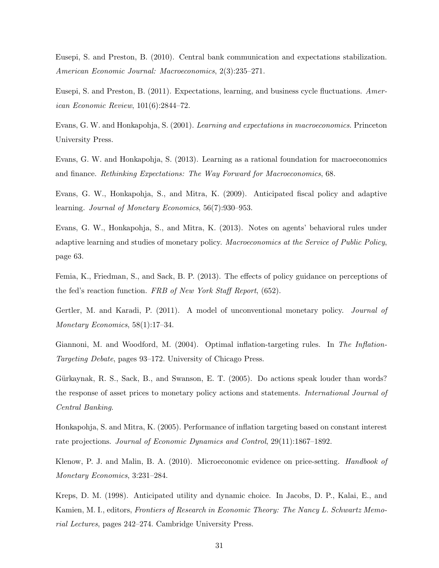Eusepi, S. and Preston, B. (2010). Central bank communication and expectations stabilization. American Economic Journal: Macroeconomics, 2(3):235–271.

Eusepi, S. and Preston, B. (2011). Expectations, learning, and business cycle fluctuations. American Economic Review, 101(6):2844–72.

Evans, G. W. and Honkapohja, S. (2001). Learning and expectations in macroeconomics. Princeton University Press.

Evans, G. W. and Honkapohja, S. (2013). Learning as a rational foundation for macroeconomics and finance. Rethinking Expectations: The Way Forward for Macroeconomics, 68.

Evans, G. W., Honkapohja, S., and Mitra, K. (2009). Anticipated fiscal policy and adaptive learning. Journal of Monetary Economics, 56(7):930–953.

Evans, G. W., Honkapohja, S., and Mitra, K. (2013). Notes on agents' behavioral rules under adaptive learning and studies of monetary policy. Macroeconomics at the Service of Public Policy, page 63.

Femia, K., Friedman, S., and Sack, B. P. (2013). The effects of policy guidance on perceptions of the fed's reaction function. FRB of New York Staff Report, (652).

Gertler, M. and Karadi, P. (2011). A model of unconventional monetary policy. *Journal of* Monetary Economics, 58(1):17–34.

Giannoni, M. and Woodford, M. (2004). Optimal inflation-targeting rules. In The Inflation-Targeting Debate, pages 93–172. University of Chicago Press.

Gürkaynak, R. S., Sack, B., and Swanson, E. T. (2005). Do actions speak louder than words? the response of asset prices to monetary policy actions and statements. International Journal of Central Banking.

Honkapohja, S. and Mitra, K. (2005). Performance of inflation targeting based on constant interest rate projections. Journal of Economic Dynamics and Control, 29(11):1867–1892.

Klenow, P. J. and Malin, B. A. (2010). Microeconomic evidence on price-setting. Handbook of Monetary Economics, 3:231–284.

Kreps, D. M. (1998). Anticipated utility and dynamic choice. In Jacobs, D. P., Kalai, E., and Kamien, M. I., editors, Frontiers of Research in Economic Theory: The Nancy L. Schwartz Memorial Lectures, pages 242–274. Cambridge University Press.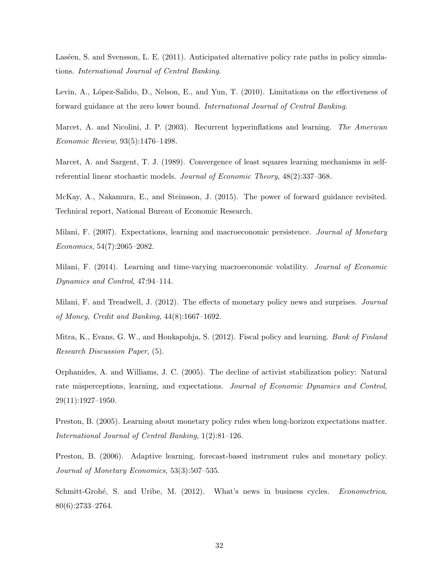Laséen, S. and Svensson, L. E. (2011). Anticipated alternative policy rate paths in policy simulations. International Journal of Central Banking.

Levin, A., López-Salido, D., Nelson, E., and Yun, T. (2010). Limitations on the effectiveness of forward guidance at the zero lower bound. International Journal of Central Banking.

Marcet, A. and Nicolini, J. P. (2003). Recurrent hyperinflations and learning. The American Economic Review, 93(5):1476–1498.

Marcet, A. and Sargent, T. J. (1989). Convergence of least squares learning mechanisms in selfreferential linear stochastic models. Journal of Economic Theory, 48(2):337–368.

McKay, A., Nakamura, E., and Steinsson, J. (2015). The power of forward guidance revisited. Technical report, National Bureau of Economic Research.

Milani, F. (2007). Expectations, learning and macroeconomic persistence. Journal of Monetary Economics, 54(7):2065–2082.

Milani, F. (2014). Learning and time-varying macroeconomic volatility. Journal of Economic Dynamics and Control, 47:94–114.

Milani, F. and Treadwell, J. (2012). The effects of monetary policy news and surprises. *Journal* of Money, Credit and Banking, 44(8):1667–1692.

Mitra, K., Evans, G. W., and Honkapohja, S. (2012). Fiscal policy and learning. Bank of Finland Research Discussion Paper, (5).

Orphanides, A. and Williams, J. C. (2005). The decline of activist stabilization policy: Natural rate misperceptions, learning, and expectations. Journal of Economic Dynamics and Control, 29(11):1927–1950.

Preston, B. (2005). Learning about monetary policy rules when long-horizon expectations matter. International Journal of Central Banking, 1(2):81–126.

Preston, B. (2006). Adaptive learning, forecast-based instrument rules and monetary policy. Journal of Monetary Economics, 53(3):507–535.

Schmitt-Grohé, S. and Uribe, M. (2012). What's news in business cycles. Econometrica, 80(6):2733–2764.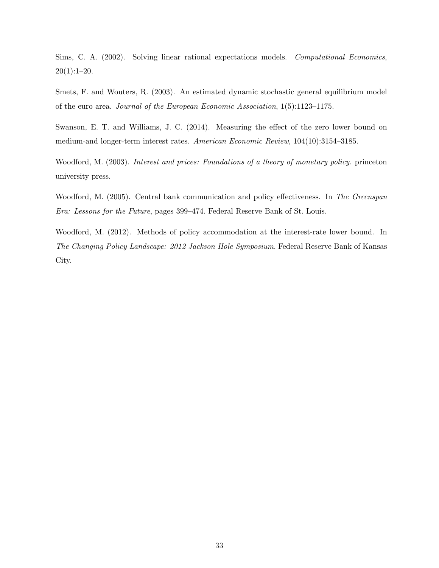Sims, C. A. (2002). Solving linear rational expectations models. Computational Economics, 20(1):1–20.

Smets, F. and Wouters, R. (2003). An estimated dynamic stochastic general equilibrium model of the euro area. Journal of the European Economic Association, 1(5):1123–1175.

Swanson, E. T. and Williams, J. C. (2014). Measuring the effect of the zero lower bound on medium-and longer-term interest rates. American Economic Review, 104(10):3154–3185.

Woodford, M. (2003). Interest and prices: Foundations of a theory of monetary policy. princeton university press.

Woodford, M. (2005). Central bank communication and policy effectiveness. In The Greenspan Era: Lessons for the Future, pages 399–474. Federal Reserve Bank of St. Louis.

Woodford, M. (2012). Methods of policy accommodation at the interest-rate lower bound. In The Changing Policy Landscape: 2012 Jackson Hole Symposium. Federal Reserve Bank of Kansas City.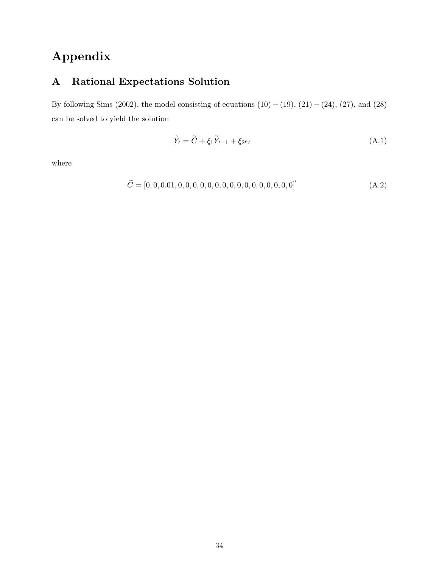# Appendix

## A Rational Expectations Solution

By following Sims (2002), the model consisting of equations  $(10) - (19)$ ,  $(21) - (24)$ ,  $(27)$ , and  $(28)$ can be solved to yield the solution

$$
\widetilde{Y}_t = \widetilde{C} + \xi_1 \widetilde{Y}_{t-1} + \xi_2 \epsilon_t \tag{A.1}
$$

where

<sup>C</sup><sup>e</sup> = [0, <sup>0</sup>, <sup>0</sup>.01, <sup>0</sup>, <sup>0</sup>, <sup>0</sup>, <sup>0</sup>, <sup>0</sup>, <sup>0</sup>, <sup>0</sup>, <sup>0</sup>, <sup>0</sup>, <sup>0</sup>, <sup>0</sup>, <sup>0</sup>, <sup>0</sup>, <sup>0</sup>, <sup>0</sup>, 0]′ (A.2)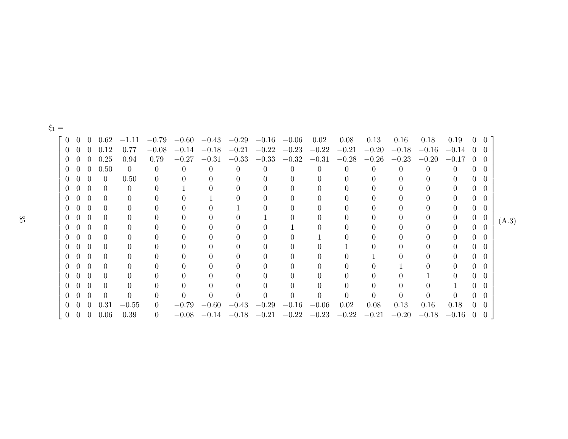| $\overline{0}$ |                  |                  | $0 \t 0 \t 0.62$ | $-1.11$        |          |          |                  | $-0.79$ $-0.60$ $-0.43$ $-0.29$ |          | $-0.16$ $-0.06$         | 0.02 | 0.08             | 0.13     | 0.16            | 0.18             | 0.19                | $0 \quad 0$                           |                |       |
|----------------|------------------|------------------|------------------|----------------|----------|----------|------------------|---------------------------------|----------|-------------------------|------|------------------|----------|-----------------|------------------|---------------------|---------------------------------------|----------------|-------|
| $\Omega$       | $\left( \right)$ |                  | $0\quad 0.12$    | 0.77           |          |          |                  | $-0.08$ $-0.14$ $-0.18$ $-0.21$ |          | $-0.22$ $-0.23$ $-0.22$ |      | $-0.21$          |          | $-0.20 -0.18$   |                  | $-0.16$ $-0.14$ 0 0 |                                       |                |       |
| $\theta$       | - ()             | $\left( \right)$ | 0.25             | 0.94           | 0.79     |          |                  | $-0.27$ $-0.31$ $-0.33$         |          | $-0.33$ $-0.32$ $-0.31$ |      | $-0.28$          |          | $-0.26$ $-0.23$ |                  | $-0.20 -0.17$       | $\begin{pmatrix} 0 & 0 \end{pmatrix}$ |                |       |
|                | $0\quad 0$       | $\theta$         | 0.50             | $\overline{0}$ | 0        | $\theta$ | $\left( \right)$ | $\Omega$                        |          | $\theta$                |      | $\left( \right)$ | $\theta$ |                 | $\left( \right)$ | $\left( \right)$    |                                       | $0 \quad 0$    |       |
|                | $0\quad 0$       | $\theta$         | $\theta$         | 0.50           | 0        |          | $\Omega$         |                                 |          |                         |      | $\Omega$         | 0        |                 | 0                | $\Omega$            | $\Omega$                              | - 0            |       |
| $\overline{0}$ | $\overline{0}$   | $\theta$         | $\theta$         | $\theta$       |          |          | 0                |                                 | $\theta$ |                         |      | $\Omega$         | 0        | 0               | 0                | $\Omega$            | $\overline{0}$                        | $\theta$       |       |
| $\overline{0}$ | $\overline{0}$   | $\overline{0}$   | $\Omega$         | $\Omega$       |          | 0        |                  |                                 | $\theta$ |                         |      | $\Omega$         | 0        | 0               | 0                | $\Omega$            | $\overline{0}$                        | $\theta$       |       |
| $\overline{0}$ | $\overline{0}$   | $\Omega$         | $\Omega$         | $\Omega$       |          |          |                  |                                 |          |                         |      | $\Omega$         |          |                 | 0                | $\Omega$            | $\overline{0}$                        | -0             |       |
| $\overline{0}$ | $\overline{0}$   | $\theta$         | $\theta$         | $\Omega$       |          |          |                  |                                 |          |                         |      | $\Omega$         |          | 0               | 0                | $\Omega$            |                                       | $0 \quad 0$    | (A.3) |
| $\overline{0}$ | $\overline{0}$   | $\Omega$         | $\theta$         | $\Omega$       |          |          | 0                |                                 |          |                         |      | $\Omega$         |          |                 | 0                | $\Omega$            | $0\quad 0$                            |                |       |
| $\overline{0}$ | $\overline{0}$   | $\Omega$         | $\Omega$         | $\Omega$       |          |          | 0                |                                 |          |                         |      | 0                |          |                 |                  | 0                   | $\Omega$                              | - 0            |       |
| $\overline{0}$ | $\theta$         | $\Omega$         | $\Omega$         | $\Omega$       |          |          | 0                |                                 |          |                         |      |                  |          |                 | 0                | $\Omega$            | 0                                     | $\theta$       |       |
| $\Omega$       | $\overline{0}$   | $\Omega$         | $\theta$         | $\theta$       |          |          |                  |                                 |          |                         |      |                  |          |                 | 0                | $\Omega$            | $\Omega$                              | $\theta$       |       |
| $\Omega$       | $\overline{0}$   | $\Omega$         | $\theta$         | $\Omega$       |          |          |                  |                                 |          | $\Omega$                |      | 0                |          |                 |                  | $\Omega$            | $\theta$                              | $\theta$       |       |
| $\theta$       | $\overline{0}$   | $\theta$         | $\theta$         | $\Omega$       |          |          |                  |                                 | $\theta$ | $\Omega$                |      | 0                | $\theta$ | $\theta$        |                  | $\Omega$            | $\theta$                              | $\theta$       |       |
| $\theta$       | $\theta$         | $\Omega$         | $\Omega$         | $\overline{0}$ |          |          | 0                |                                 |          |                         |      | $\Omega$         |          | 0               | $\Omega$         |                     | $\theta$                              | $\theta$       |       |
| $\theta$       | $\theta$         | $\Omega$         | $\Omega$         | 0              | 0        | 0        | 0                |                                 |          |                         |      | $\Omega$         | 0        |                 | $\Omega$         | $\Omega$            | $\Omega$                              | $\Omega$       |       |
| $\theta$       | $\overline{0}$   | $\theta$         | 0.31             | $-0.55$        | $\theta$ |          |                  | $-0.79$ $-0.60$ $-0.43$         |          | $-0.29$ $-0.16$ $-0.06$ |      | 0.02             | 0.08     | 0.13            | 0.16             | 0.18                | $0\quad 0$                            |                |       |
| $\overline{0}$ | $\overline{0}$   | $\theta$         | 0.06             | 0.39           | 0        | $-0.08$  |                  | $-0.14$ $-0.18$                 |          | $-0.21$ $-0.22$ $-0.23$ |      | $-0.22$          | $-0.21$  | $-0.20$         | $-0.18$          | $-0.16$             | $\theta$                              | $\overline{0}$ |       |
|                |                  |                  |                  |                |          |          |                  |                                 |          |                         |      |                  |          |                 |                  |                     |                                       |                |       |

 $\xi_1 =$